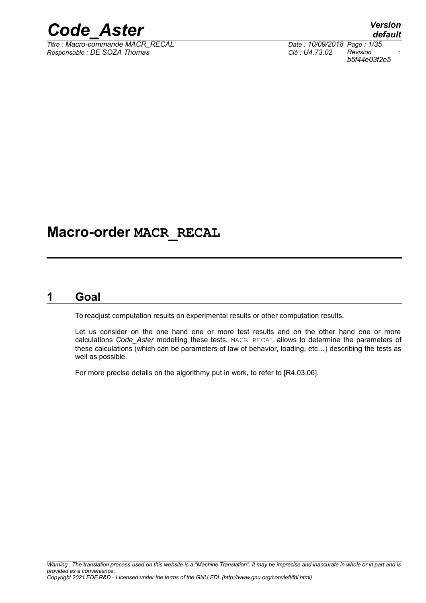

*Titre : Macro-commande MACR\_RECAL Date : 10/09/2018 Page : 1/35 Responsable : DE SOZA Thomas Clé : U4.73.02 Révision :*

*b5f44e03f2e5*

## **Macro-order MACR\_RECAL**

### **1 Goal**

<span id="page-0-0"></span>To readjust computation results on experimental results or other computation results.

Let us consider on the one hand one or more test results and on the other hand one or more calculations *Code\_Aster* modelling these tests. MACR\_RECAL allows to determine the parameters of these calculations (which can be parameters of law of behavior, loading, etc…) describing the tests as well as possible.

For more precise details on the algorithmy put in work, to refer to [R4.03.06].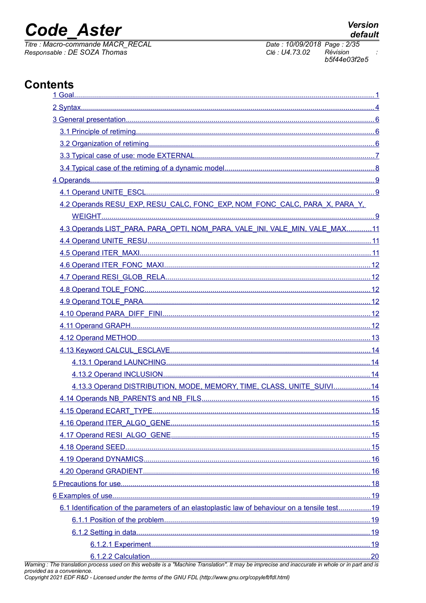## **Code Aster**

Titre : Macro-commande MACR RECAL Responsable : DE SOZA Thomas

## **Contents**

| 4.2 Operands RESU_EXP, RESU_CALC, FONC_EXP, NOM_FONC_CALC, PARA_X, PARA_Y,<br>4.3 Operands LIST_PARA, PARA_OPTI, NOM_PARA, VALE_INI, VALE_MIN, VALE_MAX11<br>4.13.3 Operand DISTRIBUTION, MODE, MEMORY, TIME, CLASS, UNITE_SUIVI14<br>4.15 Operand ECART TYPE<br>15 |
|---------------------------------------------------------------------------------------------------------------------------------------------------------------------------------------------------------------------------------------------------------------------|
|                                                                                                                                                                                                                                                                     |
|                                                                                                                                                                                                                                                                     |
|                                                                                                                                                                                                                                                                     |
|                                                                                                                                                                                                                                                                     |
|                                                                                                                                                                                                                                                                     |
|                                                                                                                                                                                                                                                                     |
|                                                                                                                                                                                                                                                                     |
|                                                                                                                                                                                                                                                                     |
|                                                                                                                                                                                                                                                                     |
|                                                                                                                                                                                                                                                                     |
|                                                                                                                                                                                                                                                                     |
|                                                                                                                                                                                                                                                                     |
|                                                                                                                                                                                                                                                                     |
|                                                                                                                                                                                                                                                                     |
|                                                                                                                                                                                                                                                                     |
|                                                                                                                                                                                                                                                                     |
|                                                                                                                                                                                                                                                                     |
|                                                                                                                                                                                                                                                                     |
|                                                                                                                                                                                                                                                                     |
|                                                                                                                                                                                                                                                                     |
|                                                                                                                                                                                                                                                                     |
|                                                                                                                                                                                                                                                                     |
|                                                                                                                                                                                                                                                                     |
|                                                                                                                                                                                                                                                                     |
|                                                                                                                                                                                                                                                                     |
|                                                                                                                                                                                                                                                                     |
|                                                                                                                                                                                                                                                                     |
|                                                                                                                                                                                                                                                                     |
|                                                                                                                                                                                                                                                                     |
|                                                                                                                                                                                                                                                                     |
|                                                                                                                                                                                                                                                                     |
|                                                                                                                                                                                                                                                                     |
|                                                                                                                                                                                                                                                                     |
| 6.1 Identification of the parameters of an elastoplastic law of behaviour on a tensile test19                                                                                                                                                                       |
|                                                                                                                                                                                                                                                                     |
|                                                                                                                                                                                                                                                                     |
|                                                                                                                                                                                                                                                                     |
|                                                                                                                                                                                                                                                                     |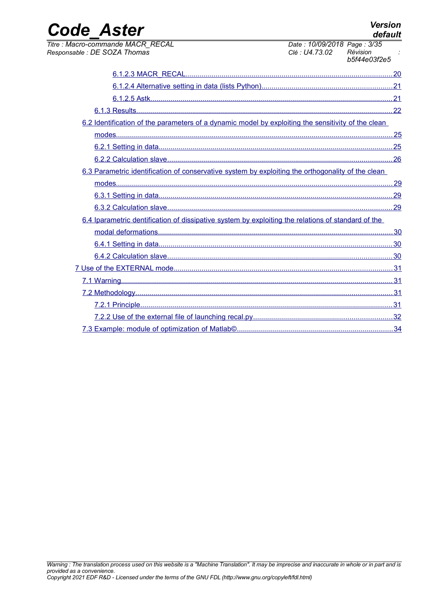| <b>Code Aster</b>                                                                                  | <b>Version</b>                                                            | default |
|----------------------------------------------------------------------------------------------------|---------------------------------------------------------------------------|---------|
| Titre : Macro-commande MACR_RECAL<br>Responsable: DE SOZA Thomas                                   | Date: 10/09/2018 Page: 3/35<br>Clé : U4.73.02<br>Révision<br>b5f44e03f2e5 |         |
|                                                                                                    |                                                                           |         |
|                                                                                                    |                                                                           |         |
|                                                                                                    |                                                                           |         |
|                                                                                                    |                                                                           |         |
| 6.2 Identification of the parameters of a dynamic model by exploiting the sensitivity of the clean |                                                                           |         |
|                                                                                                    |                                                                           |         |
|                                                                                                    |                                                                           |         |
|                                                                                                    |                                                                           |         |
| 6.3 Parametric identification of conservative system by exploiting the orthogonality of the clean  |                                                                           |         |
|                                                                                                    |                                                                           |         |
|                                                                                                    |                                                                           |         |
|                                                                                                    |                                                                           |         |
| 6.4 Iparametric dentification of dissipative system by exploiting the relations of standard of the |                                                                           |         |
|                                                                                                    |                                                                           |         |
|                                                                                                    |                                                                           |         |
|                                                                                                    |                                                                           |         |
|                                                                                                    |                                                                           |         |
|                                                                                                    |                                                                           |         |
|                                                                                                    |                                                                           |         |
|                                                                                                    |                                                                           |         |
|                                                                                                    |                                                                           |         |
|                                                                                                    |                                                                           |         |
|                                                                                                    |                                                                           |         |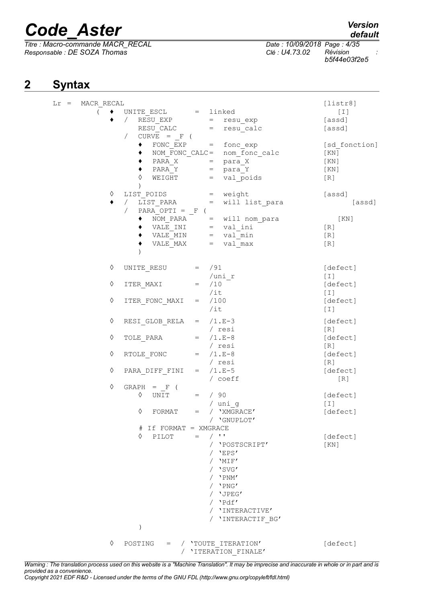**2 Syntax**

*Titre : Macro-commande MACR\_RECAL Date : 10/09/2018 Page : 4/35 Responsable : DE SOZA Thomas Clé : U4.73.02 Révision :*

## *default*

*b5f44e03f2e5*

<span id="page-3-0"></span>

| $Lr =$ | MACR RECAL<br>$\left($ | UNITE ESCL = linked         |                                                                                                                                                                            | [liststr8]<br>[T] |
|--------|------------------------|-----------------------------|----------------------------------------------------------------------------------------------------------------------------------------------------------------------------|-------------------|
|        |                        | $\sqrt{2}$                  | RESU_EXP = resu_exp                                                                                                                                                        | [assd]            |
|        |                        |                             | RESU_CALC = resu_calc                                                                                                                                                      | [assd]            |
|        |                        | $CURVE = F ($<br>$\sqrt{2}$ |                                                                                                                                                                            |                   |
|        |                        | ٠                           | FONC EXP = fonc_exp                                                                                                                                                        | [sd fonction]     |
|        |                        |                             | nom fonc calc<br>$NOM_FONC_CALC =$                                                                                                                                         | [ KN ]            |
|        |                        |                             |                                                                                                                                                                            | [KN]              |
|        |                        | ٠                           |                                                                                                                                                                            | [KN]              |
|        |                        | ♦                           | $\begin{array}{ccccc}\n\texttt{PARA_X} & - & = & \texttt{para_X} & - \\ \texttt{PARA_Y} & = & \texttt{para_Y} & \\ \texttt{WEIGHT} & = & \texttt{val\_poids}\n\end{array}$ | [R]               |
|        |                        |                             |                                                                                                                                                                            |                   |
|        | ♦                      |                             | LIST POIDS = weight                                                                                                                                                        | [assd]            |
|        | ٠                      | LIST PARA =<br>$\sqrt{2}$   | will list para                                                                                                                                                             | [assd]            |
|        |                        | PARA_OPTI = $_F$ (          |                                                                                                                                                                            |                   |
|        |                        | ٠                           | NOM_PARA = will nom_para                                                                                                                                                   | [KN]              |
|        |                        | ٠                           | VALE_INI = val_ini<br>VALE_MIN = val_min<br>VALE_MAX = val_max                                                                                                             | $[R]$             |
|        |                        | ٠                           |                                                                                                                                                                            | [R]               |
|        |                        |                             |                                                                                                                                                                            | [R]               |
|        |                        |                             |                                                                                                                                                                            |                   |
|        | ♦                      | UNITE RESU $=$ /91          |                                                                                                                                                                            | [defect]          |
|        |                        |                             | /uni r                                                                                                                                                                     | [T]               |
|        | ♦                      | ITER MAXI =                 | /10                                                                                                                                                                        | [defect]          |
|        |                        |                             | /it                                                                                                                                                                        | [I]               |
|        | ♦                      | ITER_FONC_MAXI              | /100<br>$=$                                                                                                                                                                | [defect]          |
|        |                        |                             | $/$ it                                                                                                                                                                     | $[1]$             |
|        | ♦                      | RESI GLOB RELA = $/1.E-3$   |                                                                                                                                                                            | [defect]          |
|        |                        |                             | / resi                                                                                                                                                                     | [R]               |
|        | ♦                      | TOLE PARA $=$ /1.E-8        |                                                                                                                                                                            | [defect]          |
|        |                        |                             | / resi                                                                                                                                                                     | [R]               |
|        | ♦                      | RTOLE FONC                  | $=$ /1.E-8                                                                                                                                                                 | [defect]          |
|        |                        |                             | / resi                                                                                                                                                                     | [R]               |
|        | ♦                      | PARA DIFF FINI              | $=$ $/1.F-5$                                                                                                                                                               | [defect]          |
|        |                        |                             | / coeff                                                                                                                                                                    | [R]               |
|        | ♦                      | $GRAPH = F ($               |                                                                                                                                                                            |                   |
|        |                        | UNIT<br>♦                   | $=$ / 90                                                                                                                                                                   | [defect]          |
|        |                        |                             | / uni g                                                                                                                                                                    | $[1]$             |
|        |                        | ♦<br>FORMAT                 | / 'XMGRACE'<br>$=$                                                                                                                                                         | [defect]          |
|        |                        |                             | / 'GNUPLOT'<br>If FORMAT = XMGRACE                                                                                                                                         |                   |
|        |                        | ♦<br>PILOT                  | $/$ $\sqrt{ }$<br>$=$                                                                                                                                                      | [defect]          |
|        |                        |                             | / 'POSTSCRIPT'                                                                                                                                                             | [KN]              |
|        |                        |                             | $/$ 'EPS'                                                                                                                                                                  |                   |
|        |                        |                             | $/$ 'MIF'                                                                                                                                                                  |                   |
|        |                        |                             | / 'SVG'                                                                                                                                                                    |                   |
|        |                        |                             | $/$ 'PNM'                                                                                                                                                                  |                   |
|        |                        |                             | $/$ 'PNG'                                                                                                                                                                  |                   |
|        |                        |                             | / 'JPEG'                                                                                                                                                                   |                   |
|        |                        |                             | / 'Pdf'                                                                                                                                                                    |                   |
|        |                        |                             | / 'INTERACTIVE'                                                                                                                                                            |                   |
|        |                        |                             | / 'INTERACTIF BG'                                                                                                                                                          |                   |
|        |                        | $\mathcal{E}$               |                                                                                                                                                                            |                   |
|        |                        |                             |                                                                                                                                                                            |                   |
|        | ♦                      | POSTING<br>$=$              | / 'TOUTE ITERATION'<br>'ITERATION FINALE'                                                                                                                                  | [defect]          |
|        |                        |                             |                                                                                                                                                                            |                   |

*Warning : The translation process used on this website is a "Machine Translation". It may be imprecise and inaccurate in whole or in part and is provided as a convenience. Copyright 2021 EDF R&D - Licensed under the terms of the GNU FDL (http://www.gnu.org/copyleft/fdl.html)*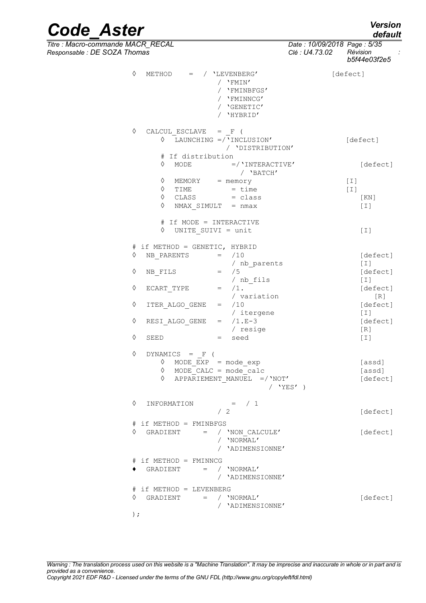*default*

# *Code\_Aster Version*

*Titre : Macro-commande MACR\_RECAL Date : 10/09/2018 Page : 5/35 Responsable : DE SOZA Thomas Clé : U4.73.02 Révision :*

|              | ıomas                                                                                                                                       |                                  | Clé : U4.73.02 | Révision<br>b5f44e03f2e5     |
|--------------|---------------------------------------------------------------------------------------------------------------------------------------------|----------------------------------|----------------|------------------------------|
| ♦            | METHOD $=$ / $'$ LEVENBERG'<br>/ $'$ FMIN'<br>/ 'FMINBFGS'<br>/ 'FMINNCG'<br>/ 'GENETIC'<br>/ 'HYBRID'                                      |                                  | [defect]       |                              |
|              | ♦<br>CALCUL ESCLAVE $=$ F (<br>$\Diamond$ LAUNCHING =/'INCLUSION'<br># If distribution                                                      | / 'DISTRIBUTION'                 |                | [defect]                     |
|              | $\Diamond$ MODE                                                                                                                             | $= /$ 'INTERACTIVE'<br>/ 'BATCH' |                | [defect]                     |
|              | $\Diamond$ MEMORY = memory<br>$=$ $\times$ $\frac{1}{2}$<br>$\Diamond$ TIME<br>$\Diamond$ CLASS = class<br>$\Diamond$<br>NMAX SIMULT = nmax |                                  | $[1]$<br>$[1]$ | [KN]<br>$[1]$                |
|              | # If MODE = INTERACTIVE<br>UNITE SUIVI = unit<br>♦                                                                                          |                                  |                | $[1]$                        |
| ♦            | # if METHOD = GENETIC, HYBRID<br>NB PARENTS<br>$=$ /10                                                                                      | / nb parents                     |                | [defect]<br>$[1]$            |
| ♦            | $=$ /5<br>NB FILS<br>/ nb_fils                                                                                                              |                                  |                | [defect]<br>$[1]$            |
| ♦            | ECART TYPE $=$ $/1$ .                                                                                                                       | / variation                      |                | [defect]<br>[R]              |
| ♦            | $=$ /10<br>ITER ALGO GENE                                                                                                                   | / itergene                       |                | [defect]<br>$[1]$            |
| ♦<br>♦       | RESI_ALGO_GENE = $/1.E-3$<br>SEED<br>= seed                                                                                                 | / resige                         |                | [defect]<br>[R]<br>$[1]$     |
| ♦            | DYNAMICS = $F$ (                                                                                                                            |                                  |                |                              |
|              | $\Diamond$ MODE_EXP = mode_exp<br>$\Diamond$ MODE_CALC = mode_calc<br>APPARIEMENT MANUEL $=$ /'NOT'<br>♦                                    | / 'YES' )                        |                | [assd]<br>[assd]<br>[defect] |
| ♦            | INFORMATION<br>$=$ $\left( 1 \right)$<br>/2                                                                                                 |                                  |                | [defect]                     |
| ♦            | # if METHOD = FMINBFGS<br>GRADIENT<br>$=$ / 'NON CALCULE'<br>/ 'NORMAL'                                                                     | / 'ADIMENSIONNE'                 |                | [defect]                     |
|              | # if METHOD = FMINNCG<br>/ 'NORMAL'<br>GRADIENT<br>$=$                                                                                      | / 'ADIMENSIONNE'                 |                |                              |
| ♦<br>$\cdot$ | # if METHOD = LEVENBERG<br>$=$ / 'NORMAL'<br>GRADIENT                                                                                       | / 'ADIMENSIONNE'                 |                | [defect]                     |
|              |                                                                                                                                             |                                  |                |                              |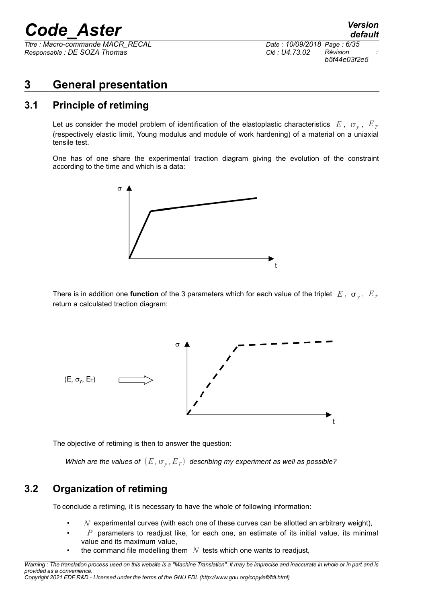*Titre : Macro-commande MACR\_RECAL Date : 10/09/2018 Page : 6/35 Responsable : DE SOZA Thomas Clé : U4.73.02 Révision :*

## <span id="page-5-2"></span>**3 General presentation**

### **3.1 Principle of retiming**

<span id="page-5-1"></span>Let us consider the model problem of identification of the elastoplastic characteristics  $E$  ,  $\sigma_y$  ,  $E_{T}$ (respectively elastic limit, Young modulus and module of work hardening) of a material on a uniaxial tensile test.

One has of one share the experimental traction diagram giving the evolution of the constraint according to the time and which is a data:



There is in addition one **function** of the 3 parameters which for each value of the triplet  $|E|$ ,  $|\sigma_y|$ ,  $|E_{T}$ return a calculated traction diagram:



The objective of retiming is then to answer the question:

*Which are the values of*  $(E$  *,*  $\sigma_{y}$  *,*  $E_{\emph{T}})$  *describing my experiment as well as possible?* 

## **3.2 Organization of retiming**

<span id="page-5-0"></span>To conclude a retiming, it is necessary to have the whole of following information:

- $N$  experimental curves (with each one of these curves can be allotted an arbitrary weight),
- *P* parameters to readjust like, for each one, an estimate of its initial value, its minimal value and its maximum value,
- the command file modelling them  $N$  tests which one wants to readjust,

*Warning : The translation process used on this website is a "Machine Translation". It may be imprecise and inaccurate in whole or in part and is provided as a convenience. Copyright 2021 EDF R&D - Licensed under the terms of the GNU FDL (http://www.gnu.org/copyleft/fdl.html)*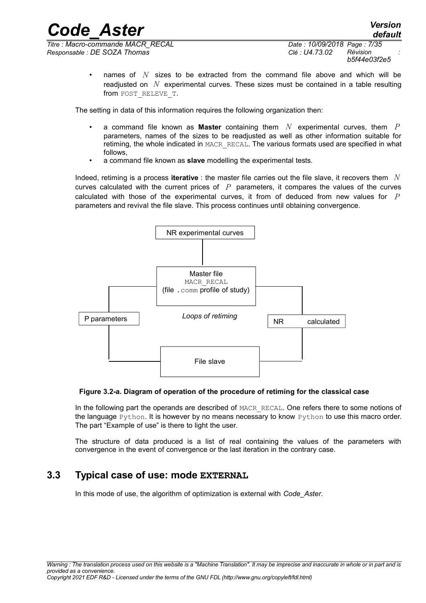*Responsable : DE SOZA Thomas Clé : U4.73.02 Révision :*

*Titre : Macro-commande MACR\_RECAL Date : 10/09/2018 Page : 7/35 b5f44e03f2e5*

*default*

• names of *N* sizes to be extracted from the command file above and which will be readjusted on *N* experimental curves. These sizes must be contained in a table resulting from POST\_RELEVE\_T.

The setting in data of this information requires the following organization then:

- a command file known as **Master** containing them *N* experimental curves, them *P* parameters, names of the sizes to be readjusted as well as other information suitable for retiming, the whole indicated in MACR\_RECAL. The various formats used are specified in what follows,
- a command file known as **slave** modelling the experimental tests.

Indeed, retiming is a process **iterative** : the master file carries out the file slave, it recovers them *N* curves calculated with the current prices of *P* parameters, it compares the values of the curves calculated with those of the experimental curves, it from of deduced from new values for *P* parameters and revival the file slave. This process continues until obtaining convergence.



#### **Figure 3.2-a. Diagram of operation of the procedure of retiming for the classical case**

In the following part the operands are described of MACR\_RECAL. One refers there to some notions of the language Python. It is however by no means necessary to know Python to use this macro order. The part "Example of use" is there to light the user.

The structure of data produced is a list of real containing the values of the parameters with convergence in the event of convergence or the last iteration in the contrary case.

#### **3.3 Typical case of use: mode EXTERNAL**

<span id="page-6-0"></span>In this mode of use, the algorithm of optimization is external with *Code\_Aster*.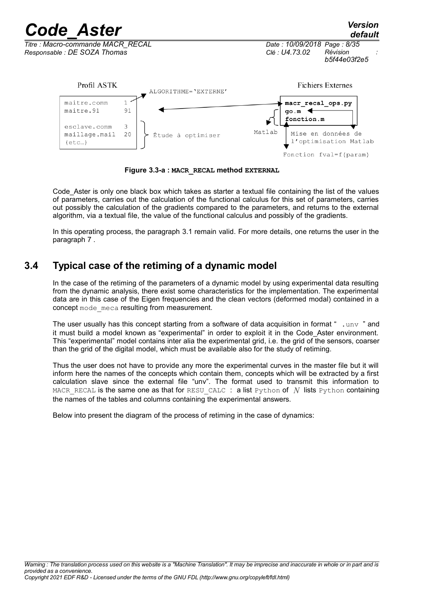

**Figure 3.3-a : MACR\_RECAL method EXTERNAL**

Code Aster is only one black box which takes as starter a textual file containing the list of the values of parameters, carries out the calculation of the functional calculus for this set of parameters, carries out possibly the calculation of the gradients compared to the parameters, and returns to the external algorithm, via a textual file, the value of the functional calculus and possibly of the gradients.

In this operating process, the paragraph [3.1](#page-5-1) remain valid. For more details, one returns the user in the paragraph [7](#page-30-3) .

## **3.4 Typical case of the retiming of a dynamic model**

<span id="page-7-0"></span>In the case of the retiming of the parameters of a dynamic model by using experimental data resulting from the dynamic analysis, there exist some characteristics for the implementation. The experimental data are in this case of the Eigen frequencies and the clean vectors (deformed modal) contained in a concept mode meca resulting from measurement.

The user usually has this concept starting from a software of data acquisition in format " . unv " and it must build a model known as "experimental" in order to exploit it in the Code Aster environment. This "experimental" model contains inter alia the experimental grid, i.e. the grid of the sensors, coarser than the grid of the digital model, which must be available also for the study of retiming.

Thus the user does not have to provide any more the experimental curves in the master file but it will inform here the names of the concepts which contain them, concepts which will be extracted by a first calculation slave since the external file "unv". The format used to transmit this information to MACR RECAL is the same one as that for RESU CALC : a list Python of  $N$  lists Python containing the names of the tables and columns containing the experimental answers.

Below into present the diagram of the process of retiming in the case of dynamics: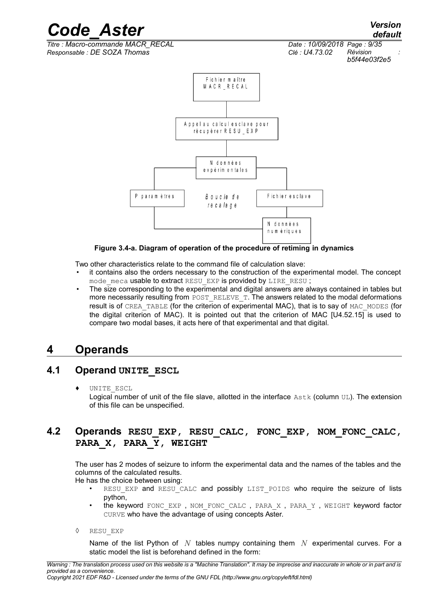*Code\_Aster Version default*

*Titre : Macro-commande MACR\_RECAL Date : 10/09/2018 Page : 9/35 Responsable : DE SOZA Thomas Clé : U4.73.02 Révision :*

*b5f44e03f2e5*



#### **Figure 3.4-a. Diagram of operation of the procedure of retiming in dynamics**

Two other characteristics relate to the command file of calculation slave:

- it contains also the orders necessary to the construction of the experimental model. The concept mode meca usable to extract RESU EXP is provided by LIRE\_RESU ;
- The size corresponding to the experimental and digital answers are always contained in tables but more necessarily resulting from POST\_RELEVE\_T. The answers related to the modal deformations result is of CREA\_TABLE (for the criterion of experimental MAC), that is to say of MAC\_MODES (for the digital criterion of MAC). It is pointed out that the criterion of MAC [U4.52.15] is used to compare two modal bases, it acts here of that experimental and that digital.

## <span id="page-8-2"></span>**4 Operands**

### **4.1 Operand UNITE\_ESCL**

<span id="page-8-1"></span>UNITE ESCL

Logical number of unit of the file slave, allotted in the interface  $\text{Astk}$  (column UL). The extension of this file can be unspecified.

### <span id="page-8-0"></span>**4.2 Operands RESU\_EXP, RESU\_CALC, FONC\_EXP, NOM\_FONC\_CALC, PARA\_X, PARA\_Y, WEIGHT**

The user has 2 modes of seizure to inform the experimental data and the names of the tables and the columns of the calculated results.

He has the choice between using:

- RESU EXP and RESU CALC and possibly LIST POIDS who require the seizure of lists python,
- the keyword FONC EXP, NOM FONC CALC, PARA X, PARA Y, WEIGHT keyword factor CURVE who have the advantage of using concepts Aster.
- ◊ RESU\_EXP

Name of the list Python of *N* tables numpy containing them *N* experimental curves. For a static model the list is beforehand defined in the form: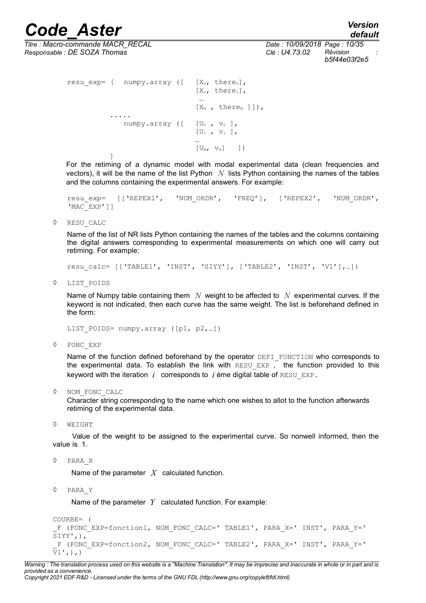*Titre : Macro-commande MACR\_RECAL Date : 10/09/2018 Page : 10/35 Responsable : DE SOZA Thomas Clé : U4.73.02 Révision :*

```
resu exp= [ numpy.array ([ [X_0, there<sub>0</sub>],
                                    [X_1, \text{ there}_1],
                                      …
                                    [X_N, thereN]]),
            .....
                numpy.array ([U_0, v_0],[U_1, v_1],…
                                    [U_N, V_N] ])
            ]
```
For the retiming of a dynamic model with modal experimental data (clean frequencies and vectors), it will be the name of the list Python *N* lists Python containing the names of the tables and the columns containing the experimental answers. For example:

resu exp= [['REPEX1', 'NUM\_ORDR', 'FREQ'], ['REPEX2', 'NUM\_ORDR', 'MAC\_EXP']]

◊ RESU\_CALC

Name of the list of NR lists Python containing the names of the tables and the columns containing the digital answers corresponding to experimental measurements on which one will carry out retiming. For example:

resu calc= [['TABLE1', 'INST', 'SIYY'], ['TABLE2', 'INST', 'V1'],...])

◊ LIST\_POIDS

Name of Numpy table containing them *N* weight to be affected to *N* experimental curves. If the keyword is not indicated, then each curve has the same weight. The list is beforehand defined in the form:

LIST POIDS= numpy.array ([p1, p2, ...])

◊ FONC\_EXP

Name of the function defined beforehand by the operator DEFI\_FONCTION who corresponds to the experimental data. To establish the link with RESU EXP  $\overline{I}$  the function provided to this keyword with the iteration  $i$  corresponds to  $i$  ème digital table of RESU EXP.

◊ NOM\_FONC\_CALC

Character string corresponding to the name which one wishes to allot to the function afterwards retiming of the experimental data.

◊ WEIGHT

Value of the weight to be assigned to the experimental curve. So nonwell informed, then the value is 1.

◊ PARA\_X

Name of the parameter *X* calculated function.

◊ PARA\_Y

Name of the parameter *Y* calculated function. For example:

```
COURBE= (
F (FONC EXP=fonction1, NOM FONC CALC=' TABLE1', PARA X=' INST', PARA Y='
SIYY',),
 _F (FONC_EXP=fonction2, NOM_FONC_CALC=' TABLE2', PARA_X=' INST', PARA_Y=' 
V1 , ) , )
```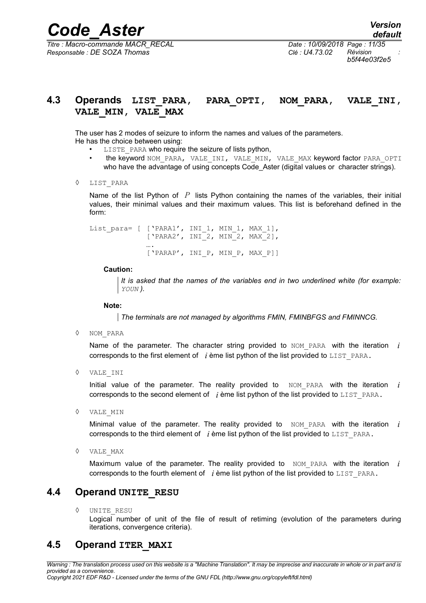*Responsable : DE SOZA Thomas Clé : U4.73.02 Révision :*

*Titre : Macro-commande MACR\_RECAL Date : 10/09/2018 Page : 11/35 b5f44e03f2e5*

### <span id="page-10-2"></span>**4.3 Operands LIST\_PARA, PARA\_OPTI, NOM\_PARA, VALE\_INI, VALE\_MIN, VALE\_MAX**

The user has 2 modes of seizure to inform the names and values of the parameters. He has the choice between using:

- LISTE PARA who require the seizure of lists python,
- the keyword NOM\_PARA, VALE\_INI, VALE\_MIN, VALE\_MAX keyword factor PARA\_OPTI who have the advantage of using concepts Code Aster (digital values or character strings).
- ◊ LIST\_PARA

Name of the list Python of *P* lists Python containing the names of the variables, their initial values, their minimal values and their maximum values. This list is beforehand defined in the form:

List para= [ ['PARA1', INI 1, MIN 1, MAX 1], ['PARA2', INI\_2, MIN\_2, MAX\_2], …. ['PARAP', INI\_P, MIN\_P, MAX\_P]]

#### **Caution:**

*It is asked that the names of the variables end in two underlined white (for example: YOUN ).*

**Note:**

*The terminals are not managed by algorithms FMIN, FMINBFGS and FMINNCG.*

◊ NOM\_PARA

Name of the parameter. The character string provided to  $NOM$  PARA with the iteration  $i$ corresponds to the first element of *i* ème list python of the list provided to LIST\_PARA.

◊ VALE\_INI

Initial value of the parameter. The reality provided to  $NOM$  PARA with the iteration  $i$ corresponds to the second element of *i* ème list python of the list provided to LIST PARA.

◊ VALE\_MIN

Minimal value of the parameter. The reality provided to NOM PARA with the iteration *i* corresponds to the third element of  $i$  ème list python of the list provided to LIST PARA.

◊ VALE\_MAX

Maximum value of the parameter. The reality provided to  $MOMPARA$  with the iteration  $i$ corresponds to the fourth element of *i* ème list python of the list provided to LIST\_PARA.

#### **4.4 Operand UNITE\_RESU**

<span id="page-10-1"></span>◊ UNITE\_RESU

<span id="page-10-0"></span>Logical number of unit of the file of result of retiming (evolution of the parameters during iterations, convergence criteria).

#### **4.5 Operand ITER\_MAXI**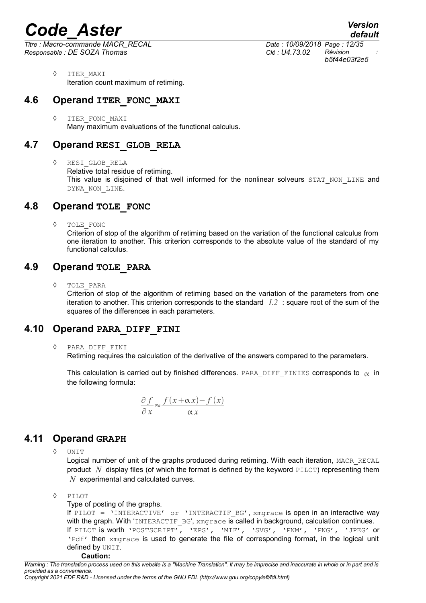*Titre : Macro-commande MACR\_RECAL Date : 10/09/2018 Page : 12/35 Responsable : DE SOZA Thomas Clé : U4.73.02 Révision :*

*default b5f44e03f2e5*

◊ ITER\_MAXI Iteration count maximum of retiming.

## **4.6 Operand ITER\_FONC\_MAXI**

<span id="page-11-5"></span>◊ ITER\_FONC\_MAXI Many maximum evaluations of the functional calculus.

## **4.7 Operand RESI\_GLOB\_RELA**

<span id="page-11-4"></span>◊ RESI\_GLOB\_RELA Relative total residue of retiming. This value is disjoined of that well informed for the nonlinear solveurs STAT\_NON\_LINE and DYNA\_NON\_LINE.

## **4.8 Operand TOLE\_FONC**

<span id="page-11-3"></span>◊ TOLE\_FONC

Criterion of stop of the algorithm of retiming based on the variation of the functional calculus from one iteration to another. This criterion corresponds to the absolute value of the standard of my functional calculus.

## **4.9 Operand TOLE\_PARA**

<span id="page-11-2"></span>◊ TOLE\_PARA

Criterion of stop of the algorithm of retiming based on the variation of the parameters from one iteration to another. This criterion corresponds to the standard *L2* : square root of the sum of the squares of the differences in each parameters.

## **4.10 Operand PARA\_DIFF\_FINI**

<span id="page-11-1"></span>◊ PARA\_DIFF\_FINI

Retiming requires the calculation of the derivative of the answers compared to the parameters.

This calculation is carried out by finished differences. PARA DIFF FINIES corresponds to  $\alpha$  in the following formula:

$$
\frac{\partial f}{\partial x} \approx \frac{f(x + \alpha x) - f(x)}{\alpha x}
$$

## **4.11 Operand GRAPH**

<span id="page-11-0"></span>◊ UNIT

Logical number of unit of the graphs produced during retiming. With each iteration, MACR\_RECAL product  $N$  display files (of which the format is defined by the keyword PILOT) representing them *N* experimental and calculated curves.

◊ PILOT

Type of posting of the graphs.

```
If PILOT = 'INTERACTIVE' or 'INTERACTIF BG', xmgrace is open in an interactive way
with the graph. With 'INTERACTIF BG', xmgrace is called in background, calculation continues.
If PILOT is worth 'POSTSCRIPT', 'EPS', 'MIF', 'SVG', 'PNM', 'PNG', 'JPEG' or
'Pdf' then xmgrace is used to generate the file of corresponding format, in the logical unit
defined by UNIT.
```
*Warning : The translation process used on this website is a "Machine Translation". It may be imprecise and inaccurate in whole or in part and is provided as a convenience. Copyright 2021 EDF R&D - Licensed under the terms of the GNU FDL (http://www.gnu.org/copyleft/fdl.html)*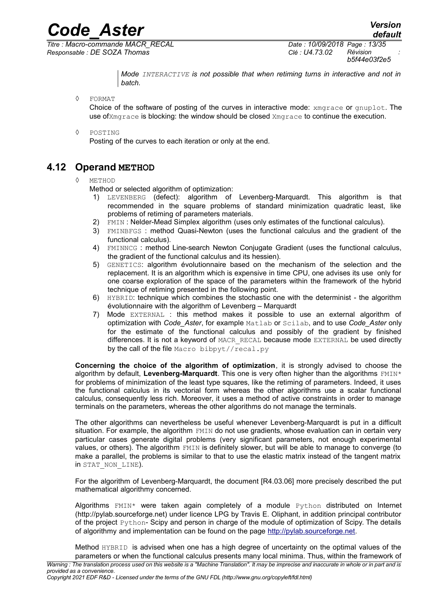*Titre : Macro-commande MACR\_RECAL Date : 10/09/2018 Page : 13/35 Responsable : DE SOZA Thomas Clé : U4.73.02 Révision :*

*b5f44e03f2e5*

*Mode INTERACTIVE is not possible that when retiming turns in interactive and not in batch.*

◊ FORMAT

Choice of the software of posting of the curves in interactive mode: xmgrace or gnuplot. The use ofXmgrace is blocking: the window should be closed Xmgrace to continue the execution.

#### ◊ POSTING

Posting of the curves to each iteration or only at the end.

### **4.12 Operand METHOD**

#### <span id="page-12-0"></span>◊ METHOD

Method or selected algorithm of optimization:

- 1) LEVENBERG (defect): algorithm of Levenberg-Marquardt. This algorithm is that recommended in the square problems of standard minimization quadratic least, like problems of retiming of parameters materials.
- 2) FMIN : Nelder-Mead Simplex algorithm (uses only estimates of the functional calculus).
- 3) FMINBFGS : method Quasi-Newton (uses the functional calculus and the gradient of the functional calculus).
- 4) FMINNCG : method Line-search Newton Conjugate Gradient (uses the functional calculus, the gradient of the functional calculus and its hessien).
- 5) GENETICS: algorithm évolutionnaire based on the mechanism of the selection and the replacement. It is an algorithm which is expensive in time CPU, one advises its use only for one coarse exploration of the space of the parameters within the framework of the hybrid technique of retiming presented in the following point.
- 6) HYBRID: technique which combines the stochastic one with the determinist the algorithm évolutionnaire with the algorithm of Levenberg – Marquardt
- 7) Mode EXTERNAL : this method makes it possible to use an external algorithm of optimization with *Code\_Aster*, for example Matlab or Scilab, and to use *Code\_Aster* only for the estimate of the functional calculus and possibly of the gradient by finished differences. It is not a keyword of MACR\_RECAL because mode EXTERNAL be used directly by the call of the file Macro bibpyt//recal.py

**Concerning the choice of the algorithm of optimization**, it is strongly advised to choose the algorithm by default, Levenberg-Marquardt. This one is very often higher than the algorithms FMIN<sup>\*</sup> for problems of minimization of the least type squares, like the retiming of parameters. Indeed, it uses the functional calculus in its vectorial form whereas the other algorithms use a scalar functional calculus, consequently less rich. Moreover, it uses a method of active constraints in order to manage terminals on the parameters, whereas the other algorithms do not manage the terminals.

The other algorithms can nevertheless be useful whenever Levenberg-Marquardt is put in a difficult situation. For example, the algorithm FMIN do not use gradients, whose evaluation can in certain very particular cases generate digital problems (very significant parameters, not enough experimental values, or others). The algorithm FMIN is definitely slower, but will be able to manage to converge (to make a parallel, the problems is similar to that to use the elastic matrix instead of the tangent matrix in STAT\_NON\_LINE).

For the algorithm of Levenberg-Marquardt, the document [R4.03.06] more precisely described the put mathematical algorithmy concerned.

Algorithms FMIN\* were taken again completely of a module Python distributed on Internet (http://pylab.sourceforge.net) under licence LPG by Travis E. Oliphant, in addition principal contributor of the project Python- Scipy and person in charge of the module of optimization of Scipy. The details of algorithmy and implementation can be found on the page [http://pylab.sourceforge.net.](http://pylab.sourceforge.net/)

Method HYBRID is advised when one has a high degree of uncertainty on the optimal values of the parameters or when the functional calculus presents many local minima. Thus, within the framework of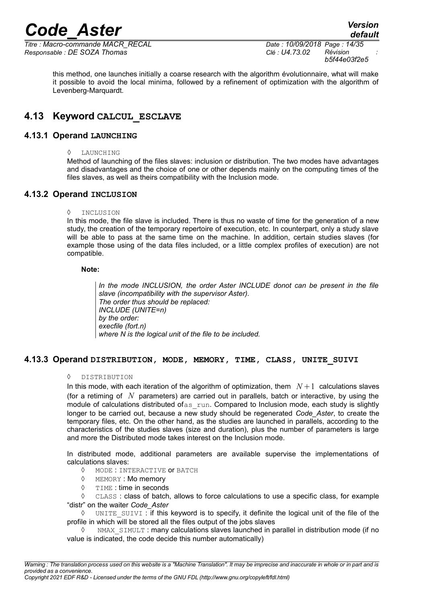*Titre : Macro-commande MACR\_RECAL Date : 10/09/2018 Page : 14/35 Responsable : DE SOZA Thomas Clé : U4.73.02 Révision :*

*b5f44e03f2e5*

this method, one launches initially a coarse research with the algorithm évolutionnaire, what will make it possible to avoid the local minima, followed by a refinement of optimization with the algorithm of Levenberg-Marquardt.

### <span id="page-13-3"></span>**4.13 Keyword CALCUL\_ESCLAVE**

#### **4.13.1 Operand LAUNCHING**

<span id="page-13-2"></span>◊ LAUNCHING

Method of launching of the files slaves: inclusion or distribution. The two modes have advantages and disadvantages and the choice of one or other depends mainly on the computing times of the files slaves, as well as theirs compatibility with the Inclusion mode.

#### **4.13.2 Operand INCLUSION**

#### <span id="page-13-1"></span>◊ INCLUSION

In this mode, the file slave is included. There is thus no waste of time for the generation of a new study, the creation of the temporary repertoire of execution, etc. In counterpart, only a study slave will be able to pass at the same time on the machine. In addition, certain studies slaves (for example those using of the data files included, or a little complex profiles of execution) are not compatible.

#### **Note:**

*In the mode INCLUSION, the order Aster INCLUDE donot can be present in the file slave (incompatibility with the supervisor Aster). The order thus should be replaced: INCLUDE (UNITE=n) by the order: execfile (fort.n) where N is the logical unit of the file to be included.*

#### **4.13.3 Operand DISTRIBUTION, MODE, MEMORY, TIME, CLASS, UNITE\_SUIVI**

#### <span id="page-13-0"></span>◊ DISTRIBUTION

In this mode, with each iteration of the algorithm of optimization, them  $N+1$  calculations slaves (for a retiming of *N* parameters) are carried out in parallels, batch or interactive, by using the module of calculations distributed ofas run. Compared to Inclusion mode, each study is slightly longer to be carried out, because a new study should be regenerated *Code\_Aster*, to create the temporary files, etc. On the other hand, as the studies are launched in parallels, according to the characteristics of the studies slaves (size and duration), plus the number of parameters is large and more the Distributed mode takes interest on the Inclusion mode.

In distributed mode, additional parameters are available supervise the implementations of calculations slaves:

- ◊ MODE : INTERACTIVE or BATCH
- ◊ MEMORY : Mo memory
- ◊ TIME : time in seconds

◊ CLASS : class of batch, allows to force calculations to use a specific class, for example "distr" on the waiter *Code\_Aster*

◊ UNITE\_SUIVI : if this keyword is to specify, it definite the logical unit of the file of the profile in which will be stored all the files output of the jobs slaves

NMAX SIMULT : many calculations slaves launched in parallel in distribution mode (if no value is indicated, the code decide this number automatically)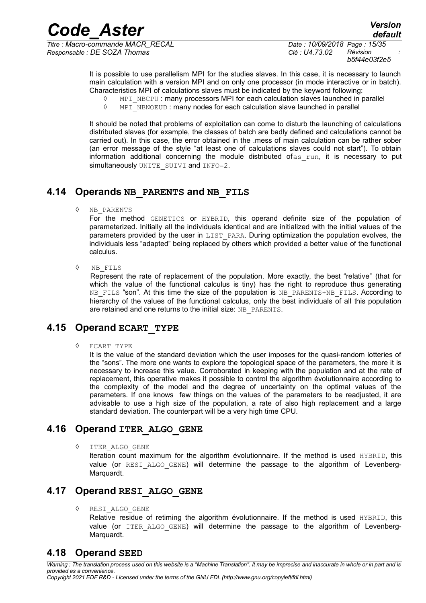*Titre : Macro-commande MACR\_RECAL Date : 10/09/2018 Page : 15/35 Responsable : DE SOZA Thomas Clé : U4.73.02 Révision :*

It is possible to use parallelism MPI for the studies slaves. In this case, it is necessary to launch main calculation with a version MPI and on only one processor (in mode interactive or in batch). Characteristics MPI of calculations slaves must be indicated by the keyword following:

- $\Diamond$  MPI\_NBCPU : many processors MPI for each calculation slaves launched in parallel
- $\Diamond$  MPI\_NBNOEUD : many nodes for each calculation slave launched in parallel

It should be noted that problems of exploitation can come to disturb the launching of calculations distributed slaves (for example, the classes of batch are badly defined and calculations cannot be carried out). In this case, the error obtained in the .mess of main calculation can be rather sober (an error message of the style "at least one of calculations slaves could not start"). To obtain information additional concerning the module distributed of  $\alpha$  run, it is necessary to put simultaneously UNITE SUIVI and INFO=2.

## **4.14 Operands NB\_PARENTS and NB\_FILS**

<span id="page-14-4"></span>◊ NB\_PARENTS

For the method GENETICS or HYBRID, this operand definite size of the population of parameterized. Initially all the individuals identical and are initialized with the initial values of the parameters provided by the user in LIST\_PARA. During optimization the population evolves, the individuals less "adapted" being replaced by others which provided a better value of the functional calculus.

◊ NB\_FILS

Represent the rate of replacement of the population. More exactly, the best "relative" (that for which the value of the functional calculus is tiny) has the right to reproduce thus generating NB FILS "son". At this time the size of the population is NB\_PARENTS+NB\_FILS. According to hierarchy of the values of the functional calculus, only the best individuals of all this population are retained and one returns to the initial size: NB\_PARENTS.

#### **4.15 Operand ECART\_TYPE**

<span id="page-14-3"></span>◊ ECART\_TYPE

It is the value of the standard deviation which the user imposes for the quasi-random lotteries of the "sons". The more one wants to explore the topological space of the parameters, the more it is necessary to increase this value. Corroborated in keeping with the population and at the rate of replacement, this operative makes it possible to control the algorithm évolutionnaire according to the complexity of the model and the degree of uncertainty on the optimal values of the parameters. If one knows few things on the values of the parameters to be readjusted, it are advisable to use a high size of the population, a rate of also high replacement and a large standard deviation. The counterpart will be a very high time CPU.

### **4.16 Operand ITER\_ALGO\_GENE**

<span id="page-14-2"></span>◊ ITER\_ALGO\_GENE

Iteration count maximum for the algorithm évolutionnaire. If the method is used HYBRID, this value (or RESI ALGO GENE) will determine the passage to the algorithm of Levenberg-Marquardt.

#### **4.17 Operand RESI\_ALGO\_GENE**

<span id="page-14-1"></span>◊ RESI\_ALGO\_GENE

Relative residue of retiming the algorithm évolutionnaire. If the method is used HYBRID, this value (or ITER ALGO GENE) will determine the passage to the algorithm of Levenberg-Marquardt.

## <span id="page-14-0"></span>**4.18 Operand SEED**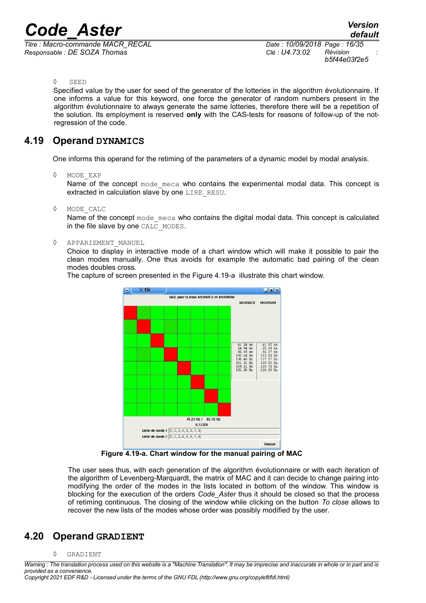*Titre : Macro-commande MACR\_RECAL Date : 10/09/2018 Page : 16/35 Responsable : DE SOZA Thomas Clé : U4.73.02 Révision :*

*b5f44e03f2e5*

#### ◊ SEED

Specified value by the user for seed of the generator of the lotteries in the algorithm évolutionnaire. If one informs a value for this keyword, one force the generator of random numbers present in the algorithm évolutionnaire to always generate the same lotteries, therefore there will be a repetition of the solution. Its employment is reserved **only** with the CAS-tests for reasons of follow-up of the notregression of the code.

#### **4.19 Operand DYNAMICS**

<span id="page-15-1"></span>One informs this operand for the retiming of the parameters of a dynamic model by modal analysis.

◊ MODE\_EXP

Name of the concept mode meca who contains the experimental modal data. This concept is extracted in calculation slave by one LIRE\_RESU.

◊ MODE\_CALC

Name of the concept mode meca who contains the digital modal data. This concept is calculated in the file slave by one CALC\_MODES.

#### ◊ APPARIEMENT\_MANUEL

Choice to display in interactive mode of a chart window which will make it possible to pair the clean modes manually. One thus avoids for example the automatic bad pairing of the clean modes doubles cross.

The capture of screen presented in the Figure 4.19-a illustrate this chart window.



**Figure 4.19-a. Chart window for the manual pairing of MAC**

The user sees thus, with each generation of the algorithm évolutionnaire or with each iteration of the algorithm of Levenberg-Marquardt, the matrix of MAC and it can decide to change pairing into modifying the order of the modes in the lists located in bottom of the window. This window is blocking for the execution of the orders *Code\_Aster* thus it should be closed so that the process of retiming continuous. The closing of the window while clicking on the button *To close* allows to recover the new lists of the modes whose order was possibly modified by the user.

#### **4.20 Operand GRADIENT**

#### <span id="page-15-0"></span>◊ GRADIENT

*Warning : The translation process used on this website is a "Machine Translation". It may be imprecise and inaccurate in whole or in part and is provided as a convenience. Copyright 2021 EDF R&D - Licensed under the terms of the GNU FDL (http://www.gnu.org/copyleft/fdl.html)*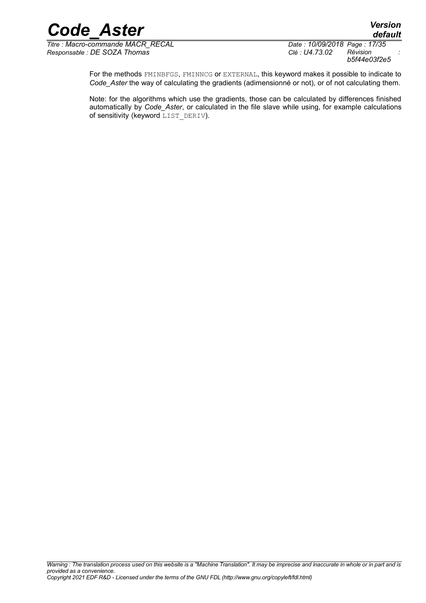*Titre : Macro-commande MACR\_RECAL Date : 10/09/2018 Page : 17/35 Responsable : DE SOZA Thomas Clé : U4.73.02 Révision :*

*b5f44e03f2e5*

*default*

For the methods FMINBFGS, FMINNCG or EXTERNAL, this keyword makes it possible to indicate to *Code\_Aster* the way of calculating the gradients (adimensionné or not), or of not calculating them.

Note: for the algorithms which use the gradients, those can be calculated by differences finished automatically by *Code\_Aster*, or calculated in the file slave while using, for example calculations of sensitivity (keyword LIST DERIV).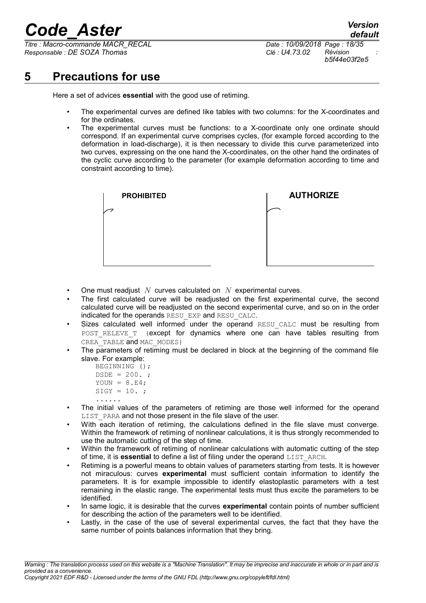*Titre : Macro-commande MACR\_RECAL Date : 10/09/2018 Page : 18/35 Responsable : DE SOZA Thomas Clé : U4.73.02 Révision :*

*default b5f44e03f2e5*

## **5 Precautions for use**

<span id="page-17-0"></span>Here a set of advices **essential** with the good use of retiming.

- The experimental curves are defined like tables with two columns: for the X-coordinates and for the ordinates.
- The experimental curves must be functions: to a X-coordinate only one ordinate should correspond. If an experimental curve comprises cycles, (for example forced according to the deformation in load-discharge), it is then necessary to divide this curve parameterized into two curves, expressing on the one hand the X-coordinates, on the other hand the ordinates of the cyclic curve according to the parameter (for example deformation according to time and constraint according to time).



- One must readjust *N* curves calculated on *N* experimental curves.
- The first calculated curve will be readjusted on the first experimental curve, the second calculated curve will be readjusted on the second experimental curve, and so on in the order indicated for the operands RESU\_EXP and RESU\_CALC.
- Sizes calculated well informed under the operand RESU CALC must be resulting from POST RELEVE T (except for dynamics where one can have tables resulting from CREA TABLE and MAC MODES)
- The parameters of retiming must be declared in block at the beginning of the command file slave. For example:
	- BEGINNING ();  $DSDE = 200.$ ; YOUN =  $8.E4;$  $SIGY = 10.$
- ...... • The initial values of the parameters of retiming are those well informed for the operand LIST PARA and not those present in the file slave of the user.
- With each iteration of retiming, the calculations defined in the file slave must converge. Within the framework of retiming of nonlinear calculations, it is thus strongly recommended to use the automatic cutting of the step of time.
- Within the framework of retiming of nonlinear calculations with automatic cutting of the step of time, it is **essential** to define a list of filing under the operand LIST\_ARCH.
- Retiming is a powerful means to obtain values of parameters starting from tests. It is however not miraculous: curves **experimental** must sufficient contain information to identify the parameters. It is for example impossible to identify elastoplastic parameters with a test remaining in the elastic range. The experimental tests must thus excite the parameters to be identified.
- In same logic, it is desirable that the curves **experimental** contain points of number sufficient for describing the action of the parameters well to be identified.
- Lastly, in the case of the use of several experimental curves, the fact that they have the same number of points balances information that they bring.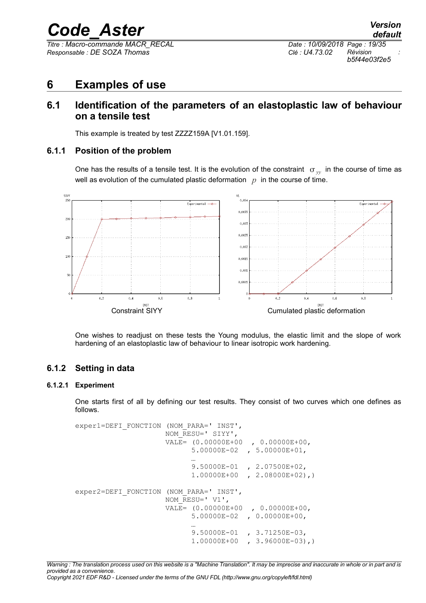*Titre : Macro-commande MACR\_RECAL Date : 10/09/2018 Page : 19/35 Responsable : DE SOZA Thomas Clé : U4.73.02 Révision :*

*b5f44e03f2e5*

## <span id="page-18-4"></span>**6 Examples of use**

### <span id="page-18-3"></span>**6.1 Identification of the parameters of an elastoplastic law of behaviour on a tensile test**

<span id="page-18-2"></span>This example is treated by test ZZZZ159A [V1.01.159].

#### **6.1.1 Position of the problem**

One has the results of a tensile test. It is the evolution of the constraint  $\sigma_{vv}$  in the course of time as well as evolution of the cumulated plastic deformation  $p$  in the course of time.



One wishes to readjust on these tests the Young modulus, the elastic limit and the slope of work hardening of an elastoplastic law of behaviour to linear isotropic work hardening.

#### <span id="page-18-1"></span>**6.1.2 Setting in data**

#### **6.1.2.1 Experiment**

<span id="page-18-0"></span>One starts first of all by defining our test results. They consist of two curves which one defines as follows.

exper1=DEFI\_FONCTION (NOM\_PARA=' INST', NOM\_RESU=' SIYY', VALE= (0.00000E+00 , 0.00000E+00, 5.00000E-02 , 5.00000E+01, … 9.50000E-01 , 2.07500E+02, 1.00000E+00 , 2.08000E+02),) exper2=DEFI\_FONCTION (NOM\_PARA=' INST', NOM  $RESU=' V1',$  VALE= (0.00000E+00 , 0.00000E+00, 5.00000E-02 , 0.00000E+00, … 9.50000E-01 , 3.71250E-03, 1.00000E+00 , 3.96000E-03),)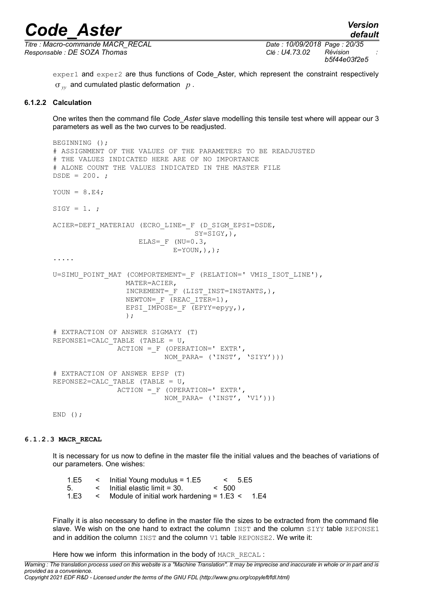*default*

*Titre : Macro-commande MACR\_RECAL Date : 10/09/2018 Page : 20/35 Responsable : DE SOZA Thomas Clé : U4.73.02 Révision :*

*b5f44e03f2e5*

exper1 and exper2 are thus functions of Code\_Aster, which represent the constraint respectively *yy* and cumulated plastic deformation *p* .

#### **6.1.2.2 Calculation**

<span id="page-19-0"></span>One writes then the command file *Code\_Aster* slave modelling this tensile test where will appear our 3 parameters as well as the two curves to be readjusted.

```
BEGINNING ();
# ASSIGNMENT OF THE VALUES OF THE PARAMETERS TO BE READJUSTED
# THE VALUES INDICATED HERE ARE OF NO IMPORTANCE
# ALONE COUNT THE VALUES INDICATED IN THE MASTER FILE
DSDE = 200.YOUN = 8.E4;SIGY = 1.;
ACIER=DEFI_MATERIAU (ECRO_LINE=_F (D_SIGM_EPSI=DSDE,
                                 SY=\overline{S}IGY, ),
                    ELAS=F (NU=0.3)E=YOUN,),.....
U=SIMU POINT MAT (COMPORTEMENT= F (RELATION=' VMIS ISOT LINE'),
                  MATER=ACIER,
                  INCREMENT=_F (LIST_INST=INSTANTS,),
                 NEWTON= F (REAC ITER=1),
                 EPSI IMPOSE= F (EPYY=epyy,),
); \overline{\phantom{a}}# EXTRACTION OF ANSWER SIGMAYY (T)
REPONSE1=CALC TABLE (TABLE = U,
                ACTION =_F (OPERATION=' EXTR',
                            NOM_PARA= ('INST', 'SIYY')))
# EXTRACTION OF ANSWER EPSP (T)
REPONSE2=CALC TABLE (TABLE = U,
                ACTION =_F (OPERATION=' EXTR',
                           NOM PARA= ('INST', 'V1')))
```
END  $()$  ;

#### **6.1.2.3 MACR\_RECAL**

<span id="page-19-1"></span>It is necessary for us now to define in the master file the initial values and the beaches of variations of our parameters. One wishes:

| 1.E5 |        | $\leq$ Initial Young modulus = 1.E5              |       | 5.55 |  |
|------|--------|--------------------------------------------------|-------|------|--|
| -5.  |        | $\epsilon$ Initial elastic limit = 30.           | < 500 |      |  |
| 1.E3 | $\leq$ | Module of initial work hardening $= 1.E3 < 1.E4$ |       |      |  |

Finally it is also necessary to define in the master file the sizes to be extracted from the command file slave. We wish on the one hand to extract the column INST and the column SIYY table REPONSE1 and in addition the column  $INST$  and the column  $V1$  table REPONSE2. We write it:

Here how we inform this information in the body of MACR\_RECAL :

*Warning : The translation process used on this website is a "Machine Translation". It may be imprecise and inaccurate in whole or in part and is provided as a convenience.*

*Copyright 2021 EDF R&D - Licensed under the terms of the GNU FDL (http://www.gnu.org/copyleft/fdl.html)*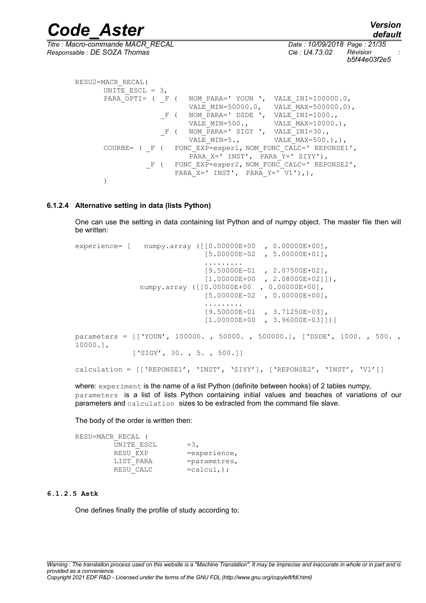*Code\_Aster Version default Titre : Macro-commande MACR\_RECAL Date : 10/09/2018 Page : 21/35 Responsable : DE SOZA Thomas Clé : U4.73.02 Révision : b5f44e03f2e5* RESU2=MACR\_RECAL( UNITE ESCL =  $3$ ,

PARA  $\overline{OPTI}$  = (  $\overline{F}$  (  $\overline{NOM}$  PARA=' YOUN ', VALE INI=100000.0, VALE MIN=50000.0, VALE MAX=500000.0), \_F ( NOM\_PARA=' DSDE ', VALE\_INI=1000.,<br>VALE MIN=500., VALE MAX=10000. VALE  $MAX=10000$ .), \_F ( NOM\_PARA=' SIGY ', VALE\_INI=30.,<br>VALE MIN=5., VALE MAX=500. VALE  $MAX=500.$ ),), COURBE= ( F ( FONC EXP=exper1, NOM FONC CALC=' REPONSE1', PARA X=' INST', PARA Y=' SIYY'), F ( FONC EXP=exper2, NOM FONC CALC=' REPONSE2', PARA  $X=$ ' INST', PARA  $Y=$ ' V1'),), )

#### **6.1.2.4 Alternative setting in data (lists Python)**

<span id="page-20-1"></span>One can use the setting in data containing list Python and of numpy object. The master file then will be written:

experience= [ numpy.array ([[0.00000E+00 , 0.00000E+00], [5.00000E-02 , 5.00000E+01], ......... [9.50000E-01 , 2.07500E+02], [1.00000E+00 , 2.08000E+02]]), numpy.array ([[0.00000E+00 , 0.00000E+00],  $[5.00000E-02, 0.00000E+00],$  ......... [9.50000E-01 , 3.71250E-03], [1.00000E+00 , 3.96000E-03]])] parameters = [['YOUN', 100000. , 50000. , 500000.], ['DSDE', 1000. , 500. , 10000.], ['SIGY', 30., 5., 500.]] calculation = [['REPONSE1', 'INST', 'SIYY'], ['REPONSE2', 'INST', 'V1']]

where: experiment is the name of a list Python (definite between hooks) of 2 tables numpy, parameters is a list of lists Python containing initial values and beaches of variations of our parameters and calculation sizes to be extracted from the command file slave.

The body of the order is written then:

| RESU=MACR RECAL ( |                   |
|-------------------|-------------------|
| UNITE ESCL        | $=$ 3.            |
| RESU EXP          | $=$ experience,   |
| LIST PARA         | $=$ parametres,   |
| RESU CALC         | $=$ calcul, $)$ ; |

#### **6.1.2.5 Astk**

<span id="page-20-0"></span>One defines finally the profile of study according to: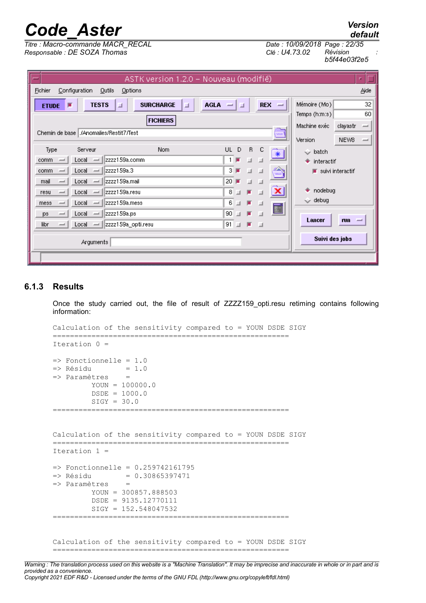*Titre : Macro-commande MACR\_RECAL Date : 10/09/2018 Page : 22/35 Responsable : DE SOZA Thomas Clé : U4.73.02 Révision :*

| Revision     |
|--------------|
| b5f44e03f2e5 |

*default*

| ASTK version 1.2.0 - Nouveau (modifié)                                                                          | n.                                          |  |  |  |  |
|-----------------------------------------------------------------------------------------------------------------|---------------------------------------------|--|--|--|--|
| Configuration<br>Outils<br>Options<br>Aide<br>Fichier                                                           |                                             |  |  |  |  |
| <b>AGLA</b><br><b>REX</b><br><b>TESTS</b><br><b>SURCHARGE</b><br>⊒<br><b>ETUDE</b><br>ⅎ<br>- -<br>ш<br>$\equiv$ | Mémoire (Mo)<br>32                          |  |  |  |  |
| <b>FICHIERS</b>                                                                                                 | 60<br>Temps (h:m:s)                         |  |  |  |  |
| Chemin de base   / Anomalies/Restit7/Test                                                                       | Machine exéc<br>clayastr<br>┙               |  |  |  |  |
| <b>MARK</b>                                                                                                     | NEW8<br>Version<br>$\overline{\phantom{a}}$ |  |  |  |  |
| Nom.<br>UL<br>D<br>$\mathsf{R}$<br>c<br>Type<br>Serveur<br>$*$                                                  | $\sim$ batch                                |  |  |  |  |
| $1 \mathbb{F}$<br>Izzzz159a.comm<br>Local<br>comm<br>$\equiv$<br>-                                              | interactif                                  |  |  |  |  |
| $3 \mathbb{F}$<br>zzzz159a.3<br>Local<br>740<br>ш<br>- 11<br>comm<br>$\overline{\phantom{a}}$<br>-<br>أمنعن     | $\blacksquare$ suivi interactif             |  |  |  |  |
| 20 <sub>1</sub><br>ш<br>zzzz159a.mail<br>Local<br>mail<br>- 11<br>L.<br>ے<br>-                                  |                                             |  |  |  |  |
| $\overline{\mathbf{x}}$<br>8<br>zzzz159a.resu<br>画<br>ш<br>Local<br>resu<br>ے<br>ш<br>–                         | nodebug                                     |  |  |  |  |
| 6<br>zzzz159a.mess<br>п<br>Local<br>ш<br>mess<br>الدا<br>-                                                      | $\smile$ debug                              |  |  |  |  |
| E<br>90 <sub>1</sub><br>zzzz159a.ps<br>Local<br>шı<br>ا پ<br>ps.<br>-                                           |                                             |  |  |  |  |
| $91$ $\Box$<br>医口<br>libr<br>zzzz159a_opti.resu<br>Local<br>$\overline{\phantom{a}}$                            | Lancer<br>run<br>-                          |  |  |  |  |
|                                                                                                                 | Suivi des jobs                              |  |  |  |  |
| Arguments                                                                                                       |                                             |  |  |  |  |
|                                                                                                                 |                                             |  |  |  |  |

#### **6.1.3 Results**

<span id="page-21-0"></span>Once the study carried out, the file of result of ZZZZ159\_opti.resu retiming contains following information:

```
Calculation of the sensitivity compared to = YOUN DSDE SIGY
=======================================================
Iteration 0 =
=> Fonctionnelle = 1.0
\Rightarrow Résidu = 1.0
=> Paramètres = 
         YOUN = 100000.0
         DSDE = 1000.0SIGY = 30.0=======================================================
Calculation of the sensitivity compared to = YOUN DSDE SIGY
=======================================================
Iteration 1 =
\Rightarrow Fonctionnelle = 0.259742161795
= Résidu = 0.30865397471=> Paramètres = 
         YOUN = 300857.888503
          DSDE = 9135.12770111
         SIGY = 152.548047532
=======================================================
Calculation of the sensitivity compared to = YOUN DSDE SIGY
=======================================================
```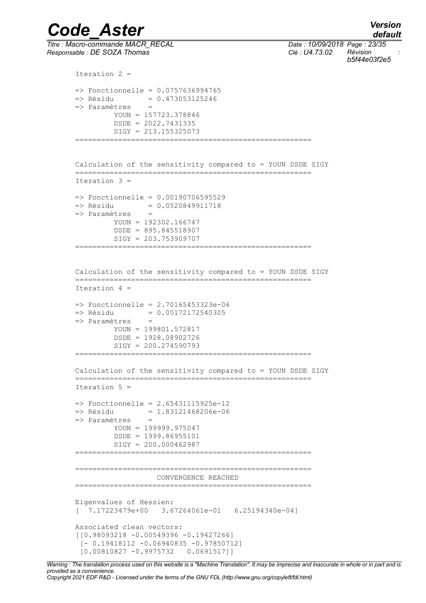*Code\_Aster Version default Titre : Macro-commande MACR\_RECAL Date : 10/09/2018 Page : 23/35 Responsable : DE SOZA Thomas Clé : U4.73.02 Révision : b5f44e03f2e5* Iteration 2 =  $\Rightarrow$  Fonctionnelle = 0.0757636994765  $=$  Résidu  $= 0.473053125246$ => Paramètres = YOUN = 157723.378846 DSDE = 2022.7431335  $STGY = 213.155325073$ ======================================================= Calculation of the sensitivity compared to = YOUN DSDE SIGY ======================================================= Iteration 3 =  $\Rightarrow$  Fonctionnelle = 0.00190706595529 => Résidu = 0.0520849911718 => Paramètres = YOUN = 192302.166747 DSDE = 895.845518907 SIGY = 203.753909707 ======================================================= Calculation of the sensitivity compared to = YOUN DSDE SIGY ======================================================= Iteration 4 =  $\Rightarrow$  Fonctionnelle = 2.70165453323e-06 => Résidu = 0.00172172540305 => Paramètres = YOUN = 199801.572817 DSDE = 1928.08902726 SIGY = 200.274590793 ======================================================= Calculation of the sensitivity compared to = YOUN DSDE SIGY ======================================================= Iteration 5 =  $\Rightarrow$  Fonctionnelle = 2.65431115925e-12  $=$  Résidu  $= 1.83121468206e-06$ => Paramètres =  $YOUN = 199999.975047$  DSDE = 1999.86955101  $SIGY = 200.000462987$ ======================================================= ======================================================= CONVERGENCE REACHED ======================================================= Eigenvalues of Hessien: [ 7.17223479e+00 3.67264061e-01 6.25194340e-04] Associated clean vectors: [[0.98093218 -0.00549396 -0.19427266] [- 0.19418112 -0.06940835 -0.97850712]

*Warning : The translation process used on this website is a "Machine Translation". It may be imprecise and inaccurate in whole or in part and is provided as a convenience. Copyright 2021 EDF R&D - Licensed under the terms of the GNU FDL (http://www.gnu.org/copyleft/fdl.html)*

[0.00810827 -0.9975732 0.0691517]]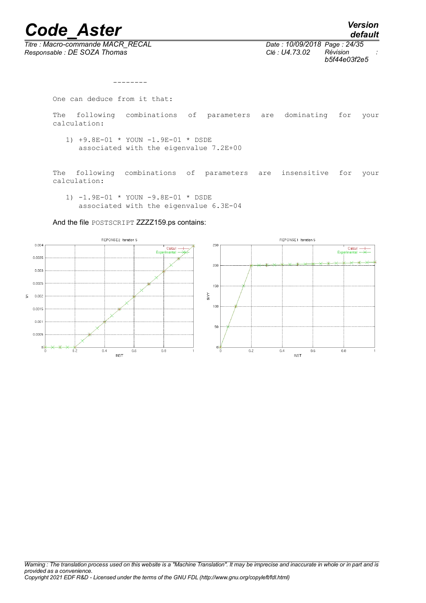*Titre : Macro-commande MACR\_RECAL Date : 10/09/2018 Page : 24/35 Responsable : DE SOZA Thomas Clé : U4.73.02 Révision :*

*default b5f44e03f2e5*

```
 --------
One can deduce from it that:
The following combinations of parameters are dominating for your
calculation:
   1) +9.8E-01 * YOUN -1.9E-01 * DSDE 
      associated with the eigenvalue 7.2E+00 
The following combinations of parameters are insensitive for your
calculation:
    1) -1.9E-01 * YOUN -9.8E-01 * DSDE 
      associated with the eigenvalue 6.3E-04
```
And the file POSTSCRIPT ZZZZ159.ps contains:

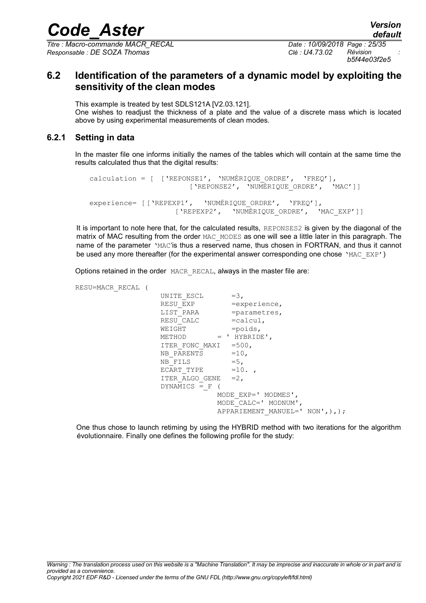*Titre : Macro-commande MACR\_RECAL Date : 10/09/2018 Page : 25/35 Responsable : DE SOZA Thomas Clé : U4.73.02 Révision :*

*b5f44e03f2e5*

### <span id="page-24-1"></span>**6.2 Identification of the parameters of a dynamic model by exploiting the sensitivity of the clean modes**

This example is treated by test SDLS121A [V2.03.121]. One wishes to readjust the thickness of a plate and the value of a discrete mass which is located above by using experimental measurements of clean modes.

#### **6.2.1 Setting in data**

<span id="page-24-0"></span>In the master file one informs initially the names of the tables which will contain at the same time the results calculated thus that the digital results:

```
calculation = [ ['REPONSE1', 'NUMÉRIQUE ORDRE', 'FREQ'],
                      ['REPONSE2', 'NUMÉRIQUE_ORDRE', 'MAC']]
experience= [['REPEXP1', 'NUMÉRIOUE ORDRE', 'FREQ'],
                   ['REPEXP2', 'NUMÉRIQUE ORDRE', 'MAC EXP']]
```
It is important to note here that, for the calculated results, REPONSES2 is given by the diagonal of the matrix of MAC resulting from the order MAC\_MODES as one will see a little later in this paragraph. The name of the parameter 'MAC'is thus a reserved name, thus chosen in FORTRAN, and thus it cannot be used any more thereafter (for the experimental answer corresponding one chose 'MAC\_EXP')

Options retained in the order MACR\_RECAL, always in the master file are:

RESU=MACR\_RECAL (

UNITE ESCL  $=3$ , RESU\_EXP =experience,<br>LIST\_PARA =parametres, LIST\_PARA =parametres,<br>RESU CALC =calcul,  $=$ calcul,  $WETGHT$  =poids, METHOD = ' HYBRIDE', ITER FONC MAXI =500, NB PARENTS =10, NB FILS  $=5$ , ECART TYPE  $=10.$ ITER ALGO GENE =2,  $DYNAMICS = F$  ( MODE\_EXP=' MODMES', MODE\_CALC=' MODNUM', APPARIEMENT MANUEL=' NON',),);

One thus chose to launch retiming by using the HYBRID method with two iterations for the algorithm évolutionnaire. Finally one defines the following profile for the study: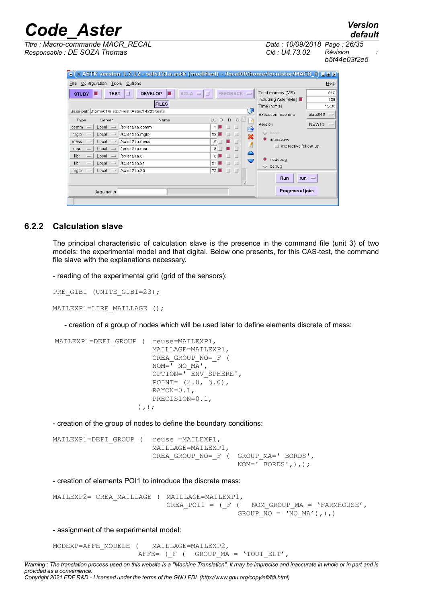*default Titre : Macro-commande MACR\_RECAL Date : 10/09/2018 Page : 26/35 Responsable : DE SOZA Thomas Clé : U4.73.02 Révision :*

*b5f44e03f2e5*

| Titre : Macro-commande MACR RECAL |  |
|-----------------------------------|--|
| Responsable : DE SOZA Thomas      |  |

| $\bullet$                                             | ́Х ASTK version 1.7.12 - sdls121a.astk (modified) - /local00/home/locnistor/MACR_F) ⊑ в х |                              |                                      |  |
|-------------------------------------------------------|-------------------------------------------------------------------------------------------|------------------------------|--------------------------------------|--|
| Configuration Tools Options<br>Help<br>File           |                                                                                           |                              |                                      |  |
| <b>TEST</b><br><b>STUDY</b>                           | $FEEDBACK -$<br>$AGLA = \boxed{ \Box }$<br><b>DEVELOP</b>                                 | Total memory (MB)            | 512                                  |  |
|                                                       | <b>FILES</b>                                                                              | including Aster (MB)         | 128                                  |  |
| Base path /home01/nistor/RestitAster/14233/tests      | C                                                                                         | Time (h:m:s)                 | 15:00                                |  |
|                                                       |                                                                                           | Execution machine            | claut646<br>$\overline{\phantom{a}}$ |  |
| Type<br>Server                                        | $\overline{B}$<br>LU.<br>D<br>Name<br>$\mathsf{C}$<br>碍                                   | Version                      | NEW10<br><b>County</b>               |  |
| Local<br>comm<br>$-$<br>$\frac{1}{2}$                 | Sdls121a.comm<br>A                                                                        |                              |                                      |  |
| mgib<br>Local<br>$\equiv$<br>$-1$                     | 22<br>./sdls121a.mqib<br>$_{\rm{tot}}$                                                    | $\vee$ batch                 |                                      |  |
| Local<br>mess<br>$\sim$<br>$-1$                       | ./sdls121a.mess<br>$6$  <br>$\blacksquare$                                                | $\bullet$ interactive        |                                      |  |
| Local<br>resu<br>$\equiv$<br>$\overline{\phantom{0}}$ | ./sdls121a.resu<br>8<br>$\Box$                                                            | $\Box$ interactive follow-up |                                      |  |
| Local<br>libr<br>$-1$<br>$\overline{\phantom{0}}$     | ≏<br>./sdls121a.3<br>3 <sup>1</sup><br>$\Box$                                             |                              |                                      |  |
| libr<br>Local<br>$\equiv$<br>$\overline{\phantom{0}}$ | U<br>./sdls121a.21<br>$\Box$<br>21                                                        | nodebug<br>$\vee$ debug      |                                      |  |
| mgib<br>Local<br>$\overline{\phantom{0}}$             | 23 J<br>$=$ $ $ ./sdls121a.23<br>$\overline{\phantom{a}}$<br>$\blacksquare$               |                              |                                      |  |
|                                                       |                                                                                           | Run                          | $run =$                              |  |
| Progress of jobs<br>Arquments                         |                                                                                           |                              |                                      |  |
|                                                       |                                                                                           |                              |                                      |  |

#### **6.2.2 Calculation slave**

<span id="page-25-0"></span>The principal characteristic of calculation slave is the presence in the command file (unit 3) of two models: the experimental model and that digital. Below one presents, for this CAS-test, the command file slave with the explanations necessary.

- reading of the experimental grid (grid of the sensors):

```
PRE GIBI (UNITE GIBI=23);
```

```
MAILEXP1=LIRE MAILLAGE ();
```
- creation of a group of nodes which will be used later to define elements discrete of mass:

```
MAILEXP1=DEFI GROUP ( reuse=MAILEXP1,
                         MAILLAGE=MAILEXP1,
                         CREA_GROUP_NO=_F (
                         NOM = I NO M\overline{A}',
                         OPTION=' ENV_SPHERE',
                         POINT= (2.0, 3.0),
                         RAYON=0.1,
                         PRECISION=0.1,
                      ),);
```
- creation of the group of nodes to define the boundary conditions:

```
MAILEXP1=DEFI GROUP ( reuse =MAILEXP1,
                       MAILLAGE=MAILEXP1,
                       CREA GROUP NO= F ( GROUP MA=' BORDS',
                                           NOM=' BORDS', ), ;
```
- creation of elements POI1 to introduce the discrete mass:

MAILEXP2= CREA\_MAILLAGE ( MAILLAGE=MAILEXP1, CREA POI1 = ( $F$  (  $NOM$  GROUP  $MA = 'FARMHOUSE'$ , GROUP  $\overline{NO} = 'NO M A')$ ,),)

- assignment of the experimental model:

MODEXP=AFFE\_MODELE ( MAILLAGE=MAILEXP2, AFFE= ( $F$  ( GROUP MA = 'TOUT ELT',

*Warning : The translation process used on this website is a "Machine Translation". It may be imprecise and inaccurate in whole or in part and is provided as a convenience. Copyright 2021 EDF R&D - Licensed under the terms of the GNU FDL (http://www.gnu.org/copyleft/fdl.html)*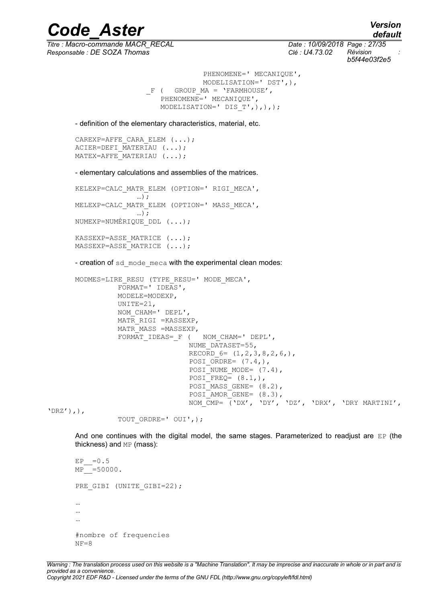*Titre : Macro-commande MACR\_RECAL Date : 10/09/2018 Page : 27/35 Responsable : DE SOZA Thomas Clé : U4.73.02 Révision :*

*default b5f44e03f2e5*

```
PHENOMENE=' MECANIQUE',
            MODELISATION=' DST',),
F ( GROUP MA = 'FARMHOUSE',
  PHENOMENE=' MECANIQUE',
  MODELISATION=' DIS_T',),),);
```
*Code\_Aster Version*

- definition of the elementary characteristics, material, etc.

CAREXP=AFFE\_CARA\_ELEM (...); ACIER=DEFI  $\overline{M}$ ATERIAU (...);  $MATEX = AFFF$  MATERIAU  $(...);$ 

- elementary calculations and assemblies of the matrices.

```
KELEXP=CALC_MATR_ELEM (OPTION=' RIGI_MECA',
                …);
MELEXP=CALC_MATR_ELEM (OPTION=' MASS_MECA',
                …);
NUMEXP=NUMÉRIQUE_DDL (...);
KASSEXP=ASSE MATRICE (...);
MASSEXP=ASSE_MATRICE (...);
```
- creation of sd\_mode\_meca with the experimental clean modes:

```
MODMES=LIRE_RESU (TYPE_RESU=' MODE_MECA',
          FORMAT=' IDEAS',
          MODELE=MODEXP,
          UNITE=21,
          NOM_CHAM=' DEPL',
          MATR RIGI =KASSEXP,
          MATR MASS =MASSEXP,
          FORMAT IDEAS= F ( NOM CHAM=' DEPL',
                           NUME_DATASET=55,
                           RECORD 6 = (1,2,3,8,2,6),
                            POSI ORDRE= (7.4,),
                            POSI NUME MODE= (7.4),
                            POSI_FREQ= (8.1,),
                            POSI MASS GENE= (8.2),
                           POSI<sup>AMORGENE=</sup> (8.3),
                           NOM_CMP= ('DX', 'DY', 'DZ', 'DRX', 'DRY MARTINI',
```
 $'DRZ'$ ),),

TOUT\_ORDRE=' OUI',);

And one continues with the digital model, the same stages. Parameterized to readjust are  $EP$  (the thickness) and MP (mass):

```
E.P = 0.5MP<sup>---</sup>=50000.
PRE_GIBI (UNITE_GIBI=22);
…
…
\mathbb{R}^2#nombre of frequencies
NF=8
```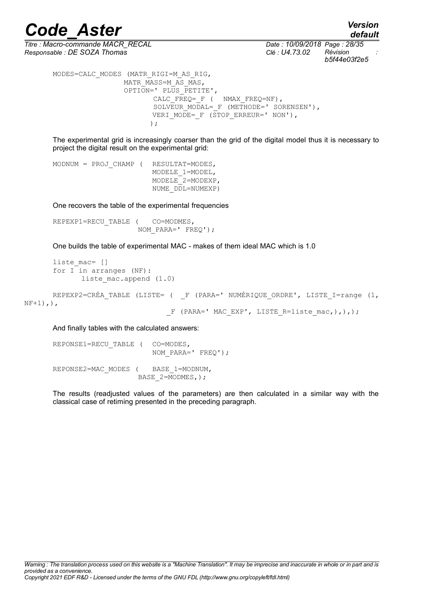*Responsable : DE SOZA Thomas Clé : U4.73.02 Révision :*

*default Titre : Macro-commande MACR\_RECAL Date : 10/09/2018 Page : 28/35 b5f44e03f2e5*

MODES=CALC\_MODES (MATR\_RIGI=M\_AS\_RIG, MATR\_MASS=M\_AS\_MAS, OPTION=' PLUS\_PETITE', CALC  $F\overline{R}EQ= F$  ( NMAX  $FREQ=NF$ ), SOLVEUR MODAL= F (METHODE=' SORENSEN'), VERI MODE=  $F$  (STOP ERREUR=' NON'), );  $\overline{\phantom{a}}$ 

The experimental grid is increasingly coarser than the grid of the digital model thus it is necessary to project the digital result on the experimental grid:

MODNUM = PROJ CHAMP ( RESULTAT=MODES, MODELE\_1=MODEL, MODELE\_2=MODEXP, NUME\_DDL=NUMEXP)

One recovers the table of the experimental frequencies

REPEXP1=RECU\_TABLE ( CO=MODMES, NOM\_PARA=' FREQ');

One builds the table of experimental MAC - makes of them ideal MAC which is 1.0

```
liste mac= []
      for I in arranges (NF):
             liste mac.append (1.0)
      REPEXP2=CRÉA_TABLE (LISTE= ( F (PARA=' NUMÉRIQUE ORDRE', LISTE I=range (1,
NF+1),),
                                 F (PARA=' MAC EXP', LISTE R=liste mac,),),);
```
And finally tables with the calculated answers:

REPONSE1=RECU\_TABLE ( CO=MODES, NOM PARA=' FREQ'); REPONSE2=MAC\_MODES ( BASE 1=MODNUM, BASE  $2=$ MODMES, );

The results (readjusted values of the parameters) are then calculated in a similar way with the classical case of retiming presented in the preceding paragraph.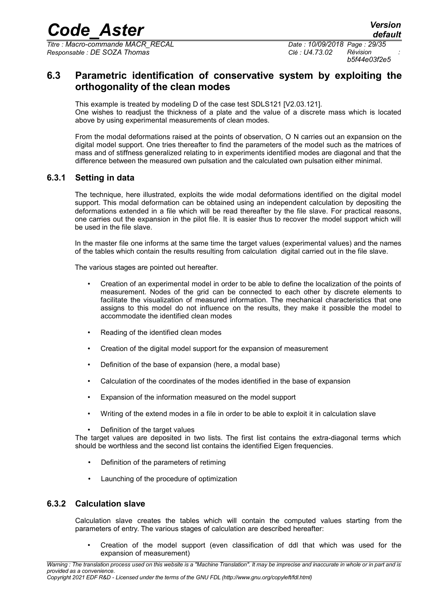*Titre : Macro-commande MACR\_RECAL Date : 10/09/2018 Page : 29/35 Responsable : DE SOZA Thomas Clé : U4.73.02 Révision :*

*b5f44e03f2e5*

### <span id="page-28-2"></span>**6.3 Parametric identification of conservative system by exploiting the orthogonality of the clean modes**

This example is treated by modeling D of the case test SDLS121 [V2.03.121]. One wishes to readjust the thickness of a plate and the value of a discrete mass which is located above by using experimental measurements of clean modes.

From the modal deformations raised at the points of observation, O N carries out an expansion on the digital model support. One tries thereafter to find the parameters of the model such as the matrices of mass and of stiffness generalized relating to in experiments identified modes are diagonal and that the difference between the measured own pulsation and the calculated own pulsation either minimal.

#### **6.3.1 Setting in data**

<span id="page-28-1"></span>The technique, here illustrated, exploits the wide modal deformations identified on the digital model support. This modal deformation can be obtained using an independent calculation by depositing the deformations extended in a file which will be read thereafter by the file slave. For practical reasons, one carries out the expansion in the pilot file. It is easier thus to recover the model support which will be used in the file slave.

In the master file one informs at the same time the target values (experimental values) and the names of the tables which contain the results resulting from calculation digital carried out in the file slave.

The various stages are pointed out hereafter.

- Creation of an experimental model in order to be able to define the localization of the points of measurement. Nodes of the grid can be connected to each other by discrete elements to facilitate the visualization of measured information. The mechanical characteristics that one assigns to this model do not influence on the results, they make it possible the model to accommodate the identified clean modes
- Reading of the identified clean modes
- Creation of the digital model support for the expansion of measurement
- Definition of the base of expansion (here, a modal base)
- Calculation of the coordinates of the modes identified in the base of expansion
- Expansion of the information measured on the model support
- Writing of the extend modes in a file in order to be able to exploit it in calculation slave
- Definition of the target values

The target values are deposited in two lists. The first list contains the extra-diagonal terms which should be worthless and the second list contains the identified Eigen frequencies.

- Definition of the parameters of retiming
- Launching of the procedure of optimization

#### **6.3.2 Calculation slave**

<span id="page-28-0"></span>Calculation slave creates the tables which will contain the computed values starting from the parameters of entry. The various stages of calculation are described hereafter:

• Creation of the model support (even classification of ddl that which was used for the expansion of measurement)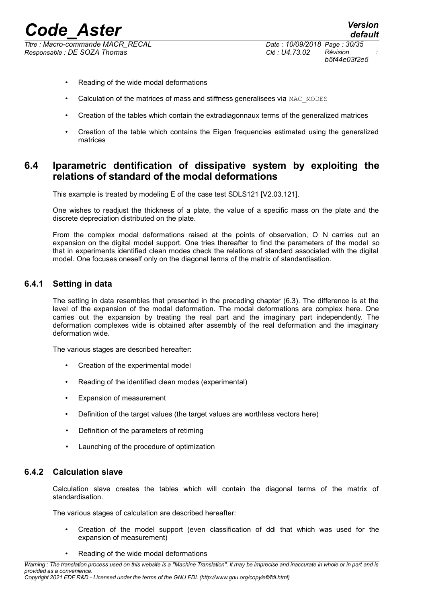*Responsable : DE SOZA Thomas Clé : U4.73.02 Révision :*

- Reading of the wide modal deformations
- Calculation of the matrices of mass and stiffness generalisees via MAC\_MODES
- Creation of the tables which contain the extradiagonnaux terms of the generalized matrices
- Creation of the table which contains the Eigen frequencies estimated using the generalized matrices

#### <span id="page-29-2"></span>**6.4 Iparametric dentification of dissipative system by exploiting the relations of standard of the modal deformations**

This example is treated by modeling E of the case test SDLS121 [V2.03.121].

One wishes to readjust the thickness of a plate, the value of a specific mass on the plate and the discrete depreciation distributed on the plate.

From the complex modal deformations raised at the points of observation, O N carries out an expansion on the digital model support. One tries thereafter to find the parameters of the model so that in experiments identified clean modes check the relations of standard associated with the digital model. One focuses oneself only on the diagonal terms of the matrix of standardisation.

#### **6.4.1 Setting in data**

<span id="page-29-1"></span>The setting in data resembles that presented in the preceding chapter (6.3). The difference is at the level of the expansion of the modal deformation. The modal deformations are complex here. One carries out the expansion by treating the real part and the imaginary part independently. The deformation complexes wide is obtained after assembly of the real deformation and the imaginary deformation wide.

The various stages are described hereafter:

- Creation of the experimental model
- Reading of the identified clean modes (experimental)
- Expansion of measurement
- Definition of the target values (the target values are worthless vectors here)
- Definition of the parameters of retiming
- Launching of the procedure of optimization

#### **6.4.2 Calculation slave**

<span id="page-29-0"></span>Calculation slave creates the tables which will contain the diagonal terms of the matrix of standardisation.

The various stages of calculation are described hereafter:

- Creation of the model support (even classification of ddl that which was used for the expansion of measurement)
- Reading of the wide modal deformations

*Warning : The translation process used on this website is a "Machine Translation". It may be imprecise and inaccurate in whole or in part and is provided as a convenience. Copyright 2021 EDF R&D - Licensed under the terms of the GNU FDL (http://www.gnu.org/copyleft/fdl.html)*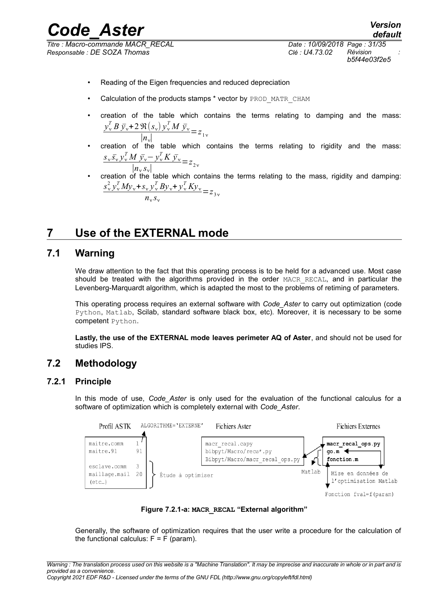*Responsable : DE SOZA Thomas Clé : U4.73.02 Révision :*

- Reading of the Eigen frequencies and reduced depreciation
- Calculation of the products stamps \* vector by PROD\_MATR\_CHAM
- creation of the table which contains the terms relating to damping and the mass:  $y_v^T B \bar{y}_v + 2 \Re(s_v) y_v^T M \bar{y}_v$  $\frac{\partial V(\mathcal{S}_{\nu})}{\partial V} = z_{1\nu}$
- creation of the table which contains the terms relating to rigidity and the mass:  $s_v \overline{s_v} y_v^T M \overline{y_v} - y_v^T K \overline{y_v}$  $\frac{\partial u}{\partial x} y_{\nu} y_{\nu} K y_{\nu}}{ |n_{\nu} s_{\nu}|} = z_{2\nu}$
- creation of the table which contains the terms relating to the mass, rigidity and damping:  $s_v^2 y_v^T M y_v + s_v y_v^T B y_v + y_v^T K y_v$  $rac{\sqrt{y}\sqrt{y}}{y}\sqrt{y}\sqrt{y}\sqrt{xy}}$ <br> $z_3$

## <span id="page-30-3"></span>**7 Use of the EXTERNAL mode**

### **7.1 Warning**

<span id="page-30-2"></span>We draw attention to the fact that this operating process is to be held for a advanced use. Most case should be treated with the algorithms provided in the order MACR RECAL, and in particular the Levenberg-Marquardt algorithm, which is adapted the most to the problems of retiming of parameters.

This operating process requires an external software with *Code\_Aster* to carry out optimization (code Python, Matlab, Scilab, standard software black box, etc). Moreover, it is necessary to be some competent Python.

<span id="page-30-1"></span>**Lastly, the use of the EXTERNAL mode leaves perimeter AQ of Aster**, and should not be used for studies IPS.

## **7.2 Methodology**

#### **7.2.1 Principle**

<span id="page-30-0"></span>In this mode of use, *Code\_Aster* is only used for the evaluation of the functional calculus for a software of optimization which is completely external with *Code\_Aster*.





Generally, the software of optimization requires that the user write a procedure for the calculation of the functional calculus:  $F = \overline{F}$  (param).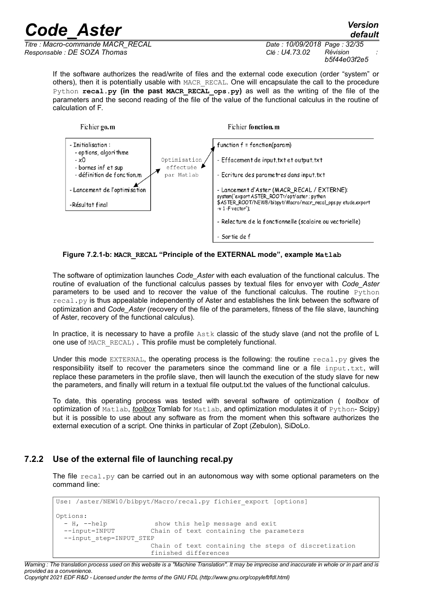*default*

*Titre : Macro-commande MACR\_RECAL Date : 10/09/2018 Page : 32/35 Responsable : DE SOZA Thomas Clé : U4.73.02 Révision :*

*b5f44e03f2e5*

If the software authorizes the read/write of files and the external code execution (order "system" or others), then it is potentially usable with MACR\_RECAL. One will encapsulate the call to the procedure Python **recal.py** (in the past MACR RECAL ops.py) as well as the writing of the file of the parameters and the second reading of the file of the value of the functional calculus in the routine of calculation of F.



**Figure 7.2.1-b: MACR\_RECAL "Principle of the EXTERNAL mode", example Matlab**

The software of optimization launches *Code\_Aster* with each evaluation of the functional calculus. The routine of evaluation of the functional calculus passes by textual files for envoyer with *Code\_Aster* parameters to be used and to recover the value of the functional calculus. The routine Python  $\text{recall.py}$  is thus appealable independently of Aster and establishes the link between the software of optimization and *Code\_Aster* (recovery of the file of the parameters, fitness of the file slave, launching of Aster, recovery of the functional calculus).

In practice, it is necessary to have a profile  $\text{Astk}$  classic of the study slave (and not the profile of L one use of MACR\_RECAL). This profile must be completely functional.

Under this mode EXTERNAL, the operating process is the following: the routine  $real\_py$  gives the responsibility itself to recover the parameters since the command line or a file  $input.txt$ , will replace these parameters in the profile slave, then will launch the execution of the study slave for new the parameters, and finally will return in a textual file output.txt the values of the functional calculus.

To date, this operating process was tested with several software of optimization ( *toolbox* of optimization of Matlab, *toolbox* Tomlab for Matlab, and optimization modulates it of Python- Scipy) but it is possible to use about any software as from the moment when this software authorizes the external execution of a script. One thinks in particular of Zopt (Zebulon), SiDoLo.

#### **7.2.2 Use of the external file of launching recal.py**

<span id="page-31-0"></span>The file  $real.py$  can be carried out in an autonomous way with some optional parameters on the command line:

```
Use: /aster/NEW10/bibpyt/Macro/recal.py fichier export [options]
Options:
  - H, --help show this help message and exit<br>--input=INPUT Chain of text containing the para
                            Chain of text containing the parameters
   --input_step=INPUT_STEP
                             Chain of text containing the steps of discretization
                             finished differences
```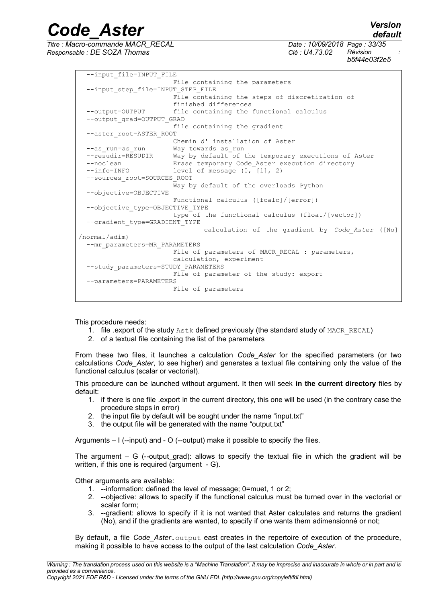*Titre : Macro-commande MACR\_RECAL Date : 10/09/2018 Page : 33/35 Responsable : DE SOZA Thomas Clé : U4.73.02 Révision :*

*default b5f44e03f2e5*

--input\_file=INPUT\_FILE File containing the parameters --input step file=INPUT STEP FILE File containing the steps of discretization of finished differences --output=OUTPUT file containing the functional calculus --output\_grad=OUTPUT\_GRAD file containing the gradient --aster\_root=ASTER\_ROOT Chemin d' installation of Aster --as\_run=as\_run Way towards as\_run<br>--resudir=RESUDIR Way by default of  $\overline{P}$ -resudir=RESUDIR Way by default of the temporary executions of Aster<br>--noclean Erase temporary Code Aster execution directory Erase temporary Code\_Aster execution directory --info=INFO level of message (0, [1], 2) --sources\_root=SOURCES\_ROOT Way by default of the overloads Python --objective=OBJECTIVE Functional calculus ([fcalc]/[error]) --objective\_type=OBJECTIVE\_TYPE type of the functional calculus (float/[vector]) --gradient\_type=GRADIENT\_TYPE calculation of the gradient by *Code\_Aster* ([No] /normal/adim) --mr\_parameters=MR\_PARAMETERS File of parameters of MACR\_RECAL : parameters, calculation, experiment --study\_parameters=STUDY\_PARAMETERS File of parameter of the study: export --parameters=PARAMETERS File of parameters

*Code\_Aster Version*

This procedure needs:

- 1. file .export of the study Astk defined previously (the standard study of MACR\_RECAL)
- 2. of a textual file containing the list of the parameters

From these two files, it launches a calculation *Code\_Aster* for the specified parameters (or two calculations *Code\_Aster*, to see higher) and generates a textual file containing only the value of the functional calculus (scalar or vectorial).

This procedure can be launched without argument. It then will seek **in the current directory** files by default:

- 1. if there is one file .export in the current directory, this one will be used (in the contrary case the procedure stops in error)
- 2. the input file by default will be sought under the name "input.txt"
- 3. the output file will be generated with the name "output.txt"

Arguments – I (--input) and - O (--output) make it possible to specify the files.

The argument  $-$  G (--output grad): allows to specify the textual file in which the gradient will be written, if this one is required (argument - G).

Other arguments are available:

- 1. --information: defined the level of message; 0=muet, 1 or 2;
- 2. --objective: allows to specify if the functional calculus must be turned over in the vectorial or scalar form;
- 3. --gradient: allows to specify if it is not wanted that Aster calculates and returns the gradient (No), and if the gradients are wanted, to specify if one wants them adimensionné or not;

By default, a file Code Aster. output east creates in the repertoire of execution of the procedure, making it possible to have access to the output of the last calculation *Code\_Aster*.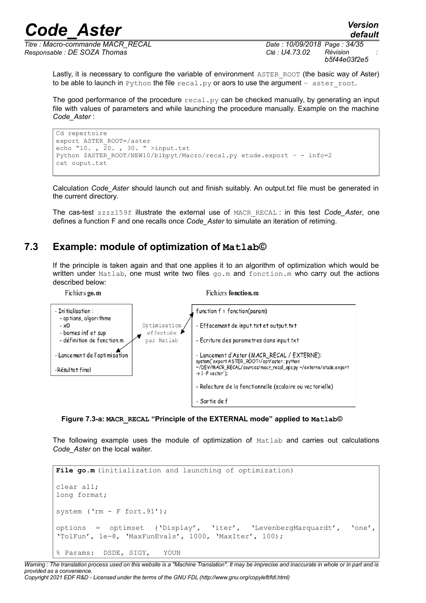*Titre : Macro-commande MACR\_RECAL Date : 10/09/2018 Page : 34/35 Responsable : DE SOZA Thomas Clé : U4.73.02 Révision :*

*b5f44e03f2e5*

Lastly, it is necessary to configure the variable of environment ASTER ROOT (the basic way of Aster) to be able to launch in Python the file  $recall.py$  or aors to use the argument – aster root.

The good performance of the procedure  $\text{recall.py}$  can be checked manually, by generating an input file with values of parameters and while launching the procedure manually. Example on the machine *Code\_Aster* :

```
Cd repertoire
export ASTER_ROOT=/aster
echo "10. , \overline{2}0. , 30. " >input.txt
Python $ASTER_ROOT/NEW10/bibpyt/Macro/recal.py etude.export – - info=2
cat ouput.txt
```
Calculation *Code\_Aster* should launch out and finish suitably. An output.txt file must be generated in the current directory.

The cas-test zzzz159f illustrate the external use of MACR\_RECAL : in this test *Code\_Aster*, one defines a function F and one recalls once *Code\_Aster* to simulate an iteration of retiming.

### **7.3 Example: module of optimization of Matlab©**

<span id="page-33-0"></span>If the principle is taken again and that one applies it to an algorithm of optimization which would be written under Matlab, one must write two files  $q_0$ .m and fonction.m who carry out the actions described below:



**Figure 7.3-a: MACR\_RECAL "Principle of the EXTERNAL mode" applied to Matlab©**

The following example uses the module of optimization of Matlab and carries out calculations *Code\_Aster* on the local waiter.

```
File go.m (initialization and launching of optimization)
clear all;
long format;
system ('rm - F fort.91');
options = optimset ('Display', 'iter', 'LevenbergMarquardt', 'one',
'TolFun', 1e-8, 'MaxFunEvals', 1000, 'MaxIter', 100);
% Params: DSDE, SIGY, YOUN
```
*Warning : The translation process used on this website is a "Machine Translation". It may be imprecise and inaccurate in whole or in part and is provided as a convenience. Copyright 2021 EDF R&D - Licensed under the terms of the GNU FDL (http://www.gnu.org/copyleft/fdl.html)*